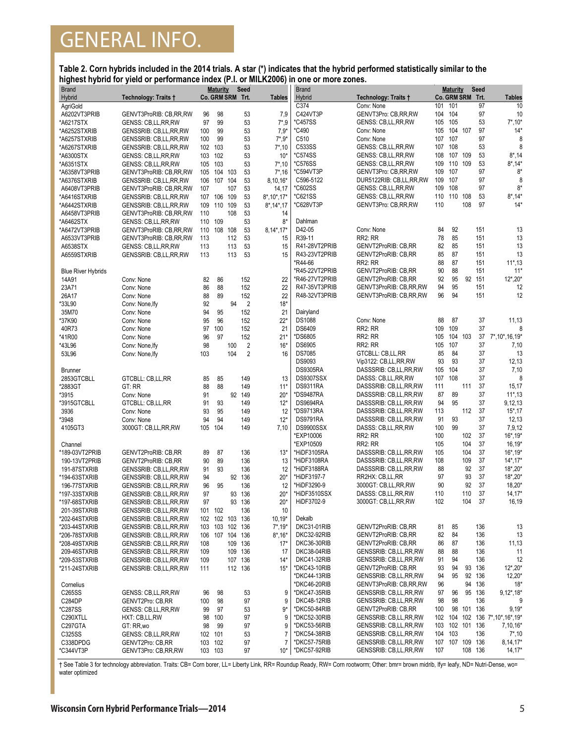**Table 2. Corn hybrids included in the 2014 trials. A star (\*) indicates that the hybrid performed statistically similar to the highest hybrid for yield or performance index (P.I. or MILK2006) in one or more zones.**

| Co. GRM SRM Trt.<br>Co. GRM SRM Trt.<br>Hybrid<br>Technology: Traits †<br><b>Hybrid</b><br>Technology: Traits †<br><b>Tables</b><br>C374<br>101<br>Conv: None<br>101<br>AgriGold                                          | <b>Tables</b><br>97<br>10          |
|---------------------------------------------------------------------------------------------------------------------------------------------------------------------------------------------------------------------------|------------------------------------|
|                                                                                                                                                                                                                           |                                    |
|                                                                                                                                                                                                                           |                                    |
| GENVT3Pro: CB,RR,RW<br>104<br>A6202VT3PRIB<br>96<br>98<br>53<br>7,9<br>C424VT3P<br>104<br>GENVT3ProRIB: CB,RR,RW                                                                                                          | 97<br>10                           |
| 105<br>97<br>99<br>53<br>*C457SS<br>GENSS: CB,LL,RR,RW<br>105<br>*A6217STX<br>GENSS: CB,LL,RR,RW<br>$7^*$ ,9                                                                                                              | $7^*$ , 10*<br>53                  |
| 104 107<br>100<br>99<br>53<br>$7.9*$<br>*C490<br>Conv: None<br>105<br>*A6252STXRIB<br>GENSSRIB: CB,LL,RR,RW                                                                                                               | $14*$<br>97                        |
| C510<br>107<br>100<br>99<br>53<br>$7^*$ , $9^*$<br>Conv: None<br>107<br>*A6257STXRIB<br>GENSSRIB: CB,LL,RR,RW                                                                                                             | 97<br>8                            |
| 107<br>108<br>102 103<br>53<br>$7^*$ , 10<br>C533SS<br><b>GENSS: CB,LL,RR,RW</b><br>*A6267STXRIB<br>GENSSRIB: CB,LL,RR,RW                                                                                                 | 53<br>8                            |
| 108<br>107 109<br>102<br>53<br>$10*$<br><i><b>*C574SS</b></i><br>GENSS: CB,LL,RR,RW<br>*A6300STX<br>103<br>GENSS: CB,LL,RR,RW<br>*C576SS<br>109<br>110 109                                                                | 53<br>$8^*$ , 14<br>$8*,14*$<br>53 |
| 53<br>105 103<br>$7^*$ , 10<br>GENSS: CB,LL,RR,RW<br>*A6351STX<br>GENSS: CB,LL,RR,RW<br>109<br>107<br>105<br>104 103<br>53<br>$7^*$ , 16<br>*C594VT3P<br>GENVT3Pro: CB,RR,RW<br>*A6358VT3PRIB<br>GENVT3ProRIB: CB, RR, RW | 97<br>$8*$                         |
| C596-5122<br>109<br>107<br>106<br>107<br>104<br>53<br>DUR5122RIB: CB,LL,RR,RW<br>*A6376STXRIB<br>GENSSRIB: CB,LL,RR,RW<br>$8,10,16*$                                                                                      | 97<br>8                            |
| 108<br>107<br>107<br>53<br>*C602SS<br>GENSS: CB,LL,RR,RW<br>109<br>A6408VT3PRIB<br>GENVT3ProRIB: CB,RR,RW<br>14,17                                                                                                        | 97<br>$8*$                         |
| 110<br>110 108<br>106 109<br>53<br>$8^*$ , 10 $^*$ , 17 $^*$<br>*C621SS<br>GENSS: CB,LL,RR,RW<br>*A6416STXRIB<br>GENSSRIB: CB,LL,RR,RW<br>107                                                                             | $8*,14*$<br>53                     |
| 110<br>110 109<br>53<br>$8^*$ , 14 $*$ , 17<br>*C628VT3P<br>GENVT3Pro: CB,RR,RW<br>*A6442STXRIB<br>GENSSRIB: CB,LL,RR,RW<br>109                                                                                           | $14*$<br>108<br>97                 |
| 110<br>108<br>53<br>A6458VT3PRIB<br>GENVT3ProRIB: CB,RR,RW<br>14                                                                                                                                                          |                                    |
| 110 109<br>53<br>$8*$<br>Dahlman<br>*A6462STX<br>GENSS: CB,LL,RR,RW                                                                                                                                                       |                                    |
| 92<br>53<br>$8,14^*$ , 17*<br>D42-05<br>Conv: None<br>84<br>*A6472VT3PRIB<br>110 108<br>108<br>GENVT3ProRIB: CB,RR,RW                                                                                                     | 13<br>151                          |
| RR2: RR<br>78<br>85<br>A6533VT3PRIB<br>113<br>112<br>53<br>R39-11<br>GENVT3ProRIB: CB,RR,RW<br>15                                                                                                                         | 151<br>13                          |
| 82<br>85<br>R41-28VT2PRIB<br><b>GENVT2ProRIB: CB,RR</b><br>A6538STX<br>GENSS: CB,LL,RR,RW<br>113<br>113<br>53<br>15                                                                                                       | 13<br>151                          |
| 85<br>87<br>A6559STXRIB<br>113<br>113<br>53<br>15<br>R43-23VT2PRIB<br><b>GENVT2ProRIB: CB,RR</b><br>GENSSRIB: CB,LL,RR,RW                                                                                                 | 13<br>151                          |
| 88<br>87<br>*R44-66<br>RR2: RR                                                                                                                                                                                            | 151<br>$11^*$ , 13                 |
| 90<br>88<br>*R45-22VT2PRIB<br><b>GENVT2ProRIB: CB,RR</b><br><b>Blue River Hybrids</b>                                                                                                                                     | 151<br>$11*$                       |
| 92<br>95<br>*R46-27VT2PRIB<br>86<br>152<br>22<br><b>GENVT2ProRIB: CB,RR</b><br>14A91<br>Conv: None<br>82                                                                                                                  | 92 151<br>$12^*$ , $20^*$          |
| 86<br>152<br>94<br>95<br>23A71<br>88<br>22<br>R47-35VT3PRIB<br>Conv: None<br>GENVT3ProRIB: CB, RR, RW                                                                                                                     | 151<br>12                          |
| 89<br>152<br>22<br>R48-32VT3PRIB<br>96<br>94<br>26A17<br>88<br>GENVT3ProRIB: CB,RR,RW<br>Conv: None                                                                                                                       | 151<br>12                          |
| *33L90<br>92<br>94<br>$\overline{2}$<br>$18*$<br>Conv: None, Ify                                                                                                                                                          |                                    |
| 94<br>95<br>152<br>21<br>Dairyland<br>35M70<br>Conv: None                                                                                                                                                                 |                                    |
| 95<br>96<br>152<br><b>DS1088</b><br>88<br>87<br>*37K90<br>Conv: None<br>$22*$<br>Conv: None                                                                                                                               | 37<br>11,13                        |
| 109<br>RR2: RR<br>109<br>Conv: None<br>97<br>100<br>152<br>21<br><b>DS6409</b><br>40R73                                                                                                                                   | 37<br>8                            |
| 96<br>152<br>*DS6805<br>RR2: RR<br>105<br>104 103<br>*41R00<br>97<br>$21*$<br>Conv: None                                                                                                                                  | 37<br>7*, 10*, 16, 19*             |
| $\overline{2}$<br><b>DS6905</b><br>RR2: RR<br>105<br>107<br>98<br>100<br>$16*$<br>*43L96<br>Conv: None, Ify<br>85<br>84                                                                                                   | 37<br>7,10<br>37                   |
| 104<br>$\overline{2}$<br><b>DS7085</b><br>GTCBLL: CB,LL,RR<br>Conv: None, Ify<br>103<br>16<br>53L96<br>93<br><b>DS9093</b><br>93                                                                                          | 13<br>37<br>12,13                  |
| Vip3122: CB,LL,RR,RW<br>105<br>104<br><b>DS9305RA</b><br>DASSSRIB: CB,LL,RR,RW<br>Brunner                                                                                                                                 | 37<br>7,10                         |
| 107<br>108<br>DS9307SSX<br>GTCBLL: CB,LL,RR<br>85<br>149<br>DASSS: CB,LL,RR,RW<br>2853GTCBLL<br>85<br>13                                                                                                                  | 37<br>8                            |
| <b>DS9311RA</b><br>111<br>GT: RR<br>88<br>88<br>149<br>DASSSRIB: CB,LL,RR,RW<br>*2883GT<br>$11*$                                                                                                                          | 111<br>37<br>15,17                 |
| *DS9487RA<br>87<br>89<br>DASSSRIB: CB,LL,RR,RW<br>91<br>92 149<br>$20*$<br>*3915<br>Conv: None                                                                                                                            | 37<br>$11*,13$                     |
| 95<br>93<br><b>DS9694RA</b><br>94<br>91<br>149<br>$12*$<br>DASSSRIB: CB,LL,RR,RW<br>*3915GTCBLL<br>GTCBLL: CB,LL,RR                                                                                                       | 37<br>9,12,13                      |
| 93<br>95<br>113<br>Conv: None<br>149<br>12<br>*DS9713RA<br>DASSSRIB: CB,LL,RR,RW<br>3936                                                                                                                                  | 112<br>37<br>$15^*$ , 17           |
| 94<br><b>DS9791RA</b><br>91<br>93<br>*3948<br>94<br>149<br>$12*$<br>DASSSRIB: CB,LL,RR,RW<br>Conv: None                                                                                                                   | 37<br>12,13                        |
| 99<br>3000GT: CB,LL,RR,RW<br>104<br>149<br>DS9900SSX<br>DASSS: CB,LL,RR,RW<br>100<br>4105GT3<br>105<br>7,10                                                                                                               | 37<br>7,9,12                       |
| *EXP10006<br>100<br>RR2: RR                                                                                                                                                                                               | 102<br>37<br>$16^*$ , 19 $*$       |
| *EXP10509<br>105<br>RR2: RR<br>Channel                                                                                                                                                                                    | 104<br>37<br>$16,19*$              |
| 105<br>$13*$<br>*HiDF3105RA<br>DASSSRIB: CB,LL,RR,RW<br>*189-03VT2PRIB<br><b>GENVT2ProRIB: CB.RR</b><br>89<br>87<br>136                                                                                                   | 104<br>37<br>$16^*$ , 19 $*$       |
| *HiDF3108RA<br>108<br>90<br>89<br>136<br>DASSSRIB: CB,LL,RR,RW<br>190-13VT2PRIB<br>GENVT2ProRIB: CB,RR<br>13                                                                                                              | 109<br>37<br>$14^*$ , 17*          |
| *HiDF3188RA<br>91<br>93<br>136<br>12<br>DASSSRIB: CB,LL,RR,RW<br>88<br><b>191-87STXRIB</b><br>GENSSRIB: CB,LL,RR,RW                                                                                                       | 92<br>37<br>$18^*$ , $20^*$        |
| 97<br>94<br>92 136<br>$20*$<br>*HiDF3197-7<br>RR2HX: CB,LL,RR<br>*194-63STXRIB<br>GENSSRIB: CB,LL,RR,RW                                                                                                                   | 93<br>37<br>$18^*$ , $20^*$        |
| 90<br>96<br>95<br>136<br>12<br>*HiDF3290-9<br>3000GT: CB,LL,RR,RW<br>196-77STXRIB<br>GENSSRIB: CB,LL,RR,RW                                                                                                                | 92<br>37<br>18,20*                 |
| 97<br>93 136<br>$20*$<br>*HiDF3510SSX<br>DASSS: CB,LL,RR,RW<br>110<br>*197-33STXRIB<br>GENSSRIB: CB,LL,RR,RW                                                                                                              | 37<br>$14,17*$<br>110              |
| 102<br>$20*$<br>HiDF3702-9<br>3000GT: CB,LL,RR,RW<br>97<br>93 136<br>*197-68STXRIB<br>GENSSRIB: CB,LL,RR,RW                                                                                                               | 104<br>37<br>16,19                 |
| 101 102<br>10<br>201-39STXRIB<br>GENSSRIB: CB,LL,RR,RW<br>136                                                                                                                                                             |                                    |
| $10,19*$<br>Dekalb<br>*202-64STXRIB<br>GENSSRIB: CB,LL,RR,RW<br>102 102 103 136                                                                                                                                           |                                    |
| 103<br>$7^*$ , 19 $*$<br>DKC31-01RIB<br><b>GENVT2ProRIB: CB,RR</b><br>81<br>85<br>GENSSRIB: CB,LL,RR,RW<br>103<br>102<br>136<br>*203-44STXRIB<br>82<br>84<br>DKC32-92RIB<br><b>GENVT2ProRIB: CB,RR</b>                    | 136<br>13<br>136<br>13             |
| 107 104 136<br>106<br>$8^*$ , 16 $*$<br>*206-78STXRIB<br>GENSSRIB: CB,LL,RR,RW<br>DKC36-30RIB<br><b>GENVT2ProRIB: CB,RR</b><br>86<br>87<br>109 136<br>$17*$<br>*208-49STXRIB<br>GENSSRIB: CB,LL,RR,RW<br>108              | 136<br>11,13                       |
| 88<br>109 136<br>DKC38-04RIB<br>GENSSRIB: CB,LL,RR,RW<br>88<br>209-46STXRIB<br>GENSSRIB: CB,LL,RR,RW<br>109<br>17                                                                                                         | 136<br>11                          |
| 94<br>DKC41-32RIB<br>91<br>107 136<br>GENSSRIB: CB,LL,RR,RW<br>*209-53STXRIB<br>GENSSRIB: CB,LL,RR,RW<br>109<br>$14*$                                                                                                     | 12<br>136                          |
| 94<br>*DKC43-10RIB<br><b>GENVT2ProRIB: CB,RR</b><br>93<br>*211-24STXRIB<br>GENSSRIB: CB,LL,RR,RW<br>111<br>112 136<br>$15*$                                                                                               | $12^*$ , $20^*$<br>93 136          |
| 95<br>*DKC44-13RIB<br>GENSSRIB: CB,LL,RR,RW<br>94                                                                                                                                                                         | 92 136<br>$12,20*$                 |
| *DKC46-20RIB<br>96<br>GENVT3ProRIB: CB, RR, RW<br>Cornelius                                                                                                                                                               | 94 136<br>$18*$                    |
| 96<br>C265SS<br>98<br>53<br>*DKC47-35RIB<br>GENSSRIB: CB,LL,RR,RW<br>97<br>GENSS: CB,LL,RR,RW<br>96<br>9                                                                                                                  | 95 136<br>$9,12^*,18^*$            |
| 98<br>DKC48-12RIB<br>98<br>C284DP<br>GENVT2Pro: CB,RR<br>100<br>98<br>97<br>9<br>GENSSRIB: CB,LL,RR,RW                                                                                                                    | 136<br>9                           |
| *C287SS<br>99<br>97<br>53<br>$9*$<br>*DKC50-84RIB<br><b>GENVT2ProRIB: CB,RR</b><br>100<br>GENSS: CB,LL,RR,RW                                                                                                              | 98 101 136<br>$9,19*$              |
| C290XTLL<br>98<br>97<br>9<br>*DKC52-30RIB<br>GENSSRIB: CB,LL,RR,RW<br>102<br>HXT: CB,LL,RW<br>100                                                                                                                         | 104 102 136 7*,10*,16*,19*         |
| 9<br>*DKC53-56RIB<br>103<br>102 101 136<br>C297GTA<br>GT: RR, wo<br>98<br>99<br>97<br>GENSSRIB: CB,LL,RR,RW                                                                                                               | $7,10,16*$                         |
| 103<br>C325SS<br>$\overline{7}$<br>*DKC54-38RIB<br>GENSSRIB: CB,LL,RR,RW<br>104<br>GENSS: CB,LL,RR,RW<br>102 101<br>53                                                                                                    | 136<br>$7^*$ , 10                  |
| *DKC57-75RIB<br>107 107 109 136<br>$\overline{7}$<br>GENSSRIB: CB,LL,RR,RW<br>C338DPDG<br>GENVT2Pro: CB,RR<br>103 102<br>97                                                                                               | $8,14,17*$                         |
| *DKC57-92RIB<br>103 103<br>$10*$<br>GENSSRIB: CB,LL,RR,RW<br>107<br>*C344VT3P<br>GENVT3Pro: CB,RR,RW<br>97                                                                                                                | 108 136<br>$14,17*$                |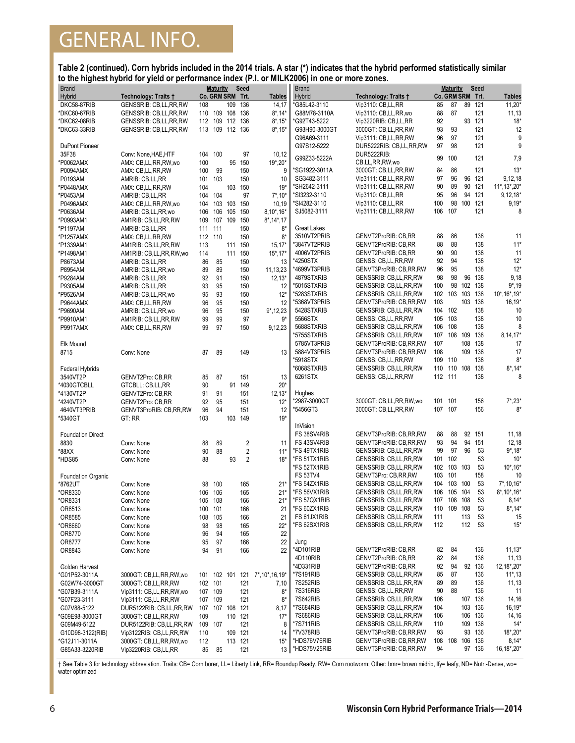**Table 2 (continued). Corn hybrids included in the 2014 trials. A star (\*) indicates that the hybrid performed statistically similar to the highest hybrid for yield or performance index (P.I. or MILK2006) in one or more zones.**

| <b>Brand</b>              |                          |         | <b>Maturity</b>  |             | Seed           |                           | <b>Brand</b>       |                               |         | <b>Maturity</b>  |         | Seed    |                            |
|---------------------------|--------------------------|---------|------------------|-------------|----------------|---------------------------|--------------------|-------------------------------|---------|------------------|---------|---------|----------------------------|
| Hybrid                    | Technology: Traits †     |         | Co. GRM SRM Trt. |             |                | Tables                    | Hybrid             | Technology: Traits †          |         | Co. GRM SRM Trt. |         |         | <b>Tables</b>              |
| DKC58-87RIB               | GENSSRIB: CB,LL,RR,RW    | 108     |                  | 109         | 136            | 14,17                     | *G85L42-3110       | Vip3110: CB,LL,RR             | 85      | 87               |         | 89 121  | $11,20*$                   |
| *DKC60-67RIB              | GENSSRIB: CB,LL,RR,RW    |         | 110 109 108 136  |             |                | $8^*$ , 14 $*$            | G88M78-3110A       | Vip3110: CB,LL,RR,wo          | 88      | 87               |         | 121     | 11,13                      |
| *DKC62-08RIB              | GENSSRIB: CB,LL,RR,RW    |         | 112 109 112 136  |             |                | $8*$ , 15*                | *G92T43-5222       | Vip3220RIB: CB,LL,RR          | 92      |                  |         | 93 121  | $18*$                      |
| *DKC63-33RIB              | GENSSRIB: CB,LL,RR,RW    |         | 113 109 112 136  |             |                | $8*$ , 15*                | G93H90-3000GT      | 3000GT: CB,LL,RR,RW           | 93      | 93               |         | 121     | 12                         |
|                           |                          |         |                  |             |                |                           | G96A69-3111        | Vip3111: CB,LL,RR,RW          | 96      | 97               |         | 121     | g                          |
| <b>DuPont Pioneer</b>     |                          |         |                  |             |                |                           | G97S12-5222        | DUR5222RIB: CB,LL,RR,RW       | 97      | 98               |         | 121     | 9                          |
| 35F38                     | Conv: None, HAE, HTF     | 104     | 100              |             | 97             | 10,12                     | G99Z33-5222A       | DUR5222RIB:                   | 99      | 100              |         | 121     | 7,9                        |
| *P0062AMX                 | AMX: CB,LL,RR,RW,wo      | 100     |                  |             | 95 150         | 19*,20*                   |                    | CB,LL,RR,RW,wo                |         |                  |         |         |                            |
| P0094AMX                  | AMX: CB,LL,RR,RW         | 100     | 99               |             | 150            | 9                         | *SG1922-3011A      | 3000GT: CB,LL,RR,RW           | 84      | 86               |         | 121     | $13*$                      |
| P0193AM                   | AMRIB: CB,LL,RR          |         | 101 103          |             | 150            | 10                        | SG3482-3111        | Vip3111: CB,LL,RR,RW          | 97      | 96               |         | 96 121  | 9,12,18                    |
| *P0448AMX                 | AMX: CB,LL,RR,RW         | 104     |                  |             | 103 150        | $19*$                     | *SH2642-3111       | Vip3111: CB,LL,RR,RW          | 90      | 89               |         | 90 121  | 11*, 13*, 20*              |
| *P0453AM                  | AMRIB: CB.LL.RR          | 104     | 104              |             | 97             | $7^*$ , 10*               | *SI3232-3110       | Vip3110: CB, LL, RR           | 95      | 96               |         | 94 121  | $9,12,18*$                 |
| P0496AMX                  | AMX: CB,LL,RR,RW,wo      | 104     |                  | 103 103 150 |                | 10,19                     | *SI4282-3110       | Vip3110: CB,LL,RR             | 100     | 98               | 100 121 |         | $9,19*$                    |
| *P0636AM                  | AMRIB: CB,LL,RR,wo       | 106     | 106              | 105         | 150            | $8.10^*$ , $16^*$         | SJ5082-3111        | Vip3111: CB,LL,RR,RW          | 106     | 107              |         | 121     | 8                          |
| *P0993AM1                 | AM1RIB: CB,LL,RR,RW      | 109     |                  | 107 109 150 |                | $8^*$ , 14 $*$ , 17       |                    |                               |         |                  |         |         |                            |
| *P1197AM                  | AMRIB: CB,LL,RR          | 111     | 111              |             | 150            | 8*                        | <b>Great Lakes</b> |                               |         |                  |         |         |                            |
| *P1257AMX                 | AMX: CB,LL,RR,RW         |         | 112 110          |             | 150            | 8*                        | 3510VT2PRIB        | <b>GENVT2ProRIB: CB,RR</b>    | 88      | 86               |         | 138     | 11                         |
| *P1339AM1                 | AM1RIB: CB,LL,RR,RW      | 113     |                  |             | 111 150        | $15,17*$                  | *3847VT2PRIB       | <b>GENVT2ProRIB: CB,RR</b>    | 88      | 88               |         | 138     | $11*$                      |
| *P1498AM1                 | AM1RIB: CB,LL,RR,RW,wo   | 114     |                  |             | 111 150        | $15^*$ , 17*              | 4006VT2PRIB        | <b>GENVT2ProRIB: CB,RR</b>    | 90      | 90               |         | 138     | 11                         |
| P8673AM                   | AMRIB: CB,LL,RR          | 86      | 85               |             | 150            | 13                        | *4250STX           | GENSS: CB,LL,RR,RW            | 92      | 94               |         | 138     | $12*$                      |
| P8954AM                   | AMRIB: CB,LL,RR,wo       | 89      | 89               |             | 150            | 11, 13, 23                | *4699VT3PRIB       | GENVT3ProRIB: CB, RR, RW      | 96      | 95               |         | 138     | $12*$                      |
| *P9284AM                  | AMRIB: CB,LL,RR          | 92      | 91               |             | 150            | $12,13*$                  | 4879STXRIB         | GENSSRIB: CB,LL,RR,RW         | 98      | 98               |         | 96 138  | 9,18                       |
| P9305AM                   | AMRIB: CB,LL,RR          | 93      | 95               |             | 150            | 12                        | *5015STXRIB        | GENSSRIB: CB,LL,RR,RW         | 100     | 98               |         | 102 138 | $9*19$                     |
| *P9526AM                  | AMRIB: CB,LL,RR,wo       | 95      | 93               |             | 150            | $12*$                     | *5283STXRIB        | GENSSRIB: CB,LL,RR,RW         | 102     | 103 103 138      |         |         | 10*, 16*, 19*              |
| <b>P9644AMX</b>           | AMX: CB,LL,RR,RW         | 96      | 95               |             | 150            | 12                        | *5368VT3PRIB       | GENVT3ProRIB: CB, RR, RW      | 103     |                  |         | 103 138 | $16, 19*$                  |
| *P9690AM                  | AMRIB: CB,LL,RR,wo       | 96      | 95               |             | 150            | $9^*$ , 12, 23            | 5428STXRIB         | GENSSRIB: CB,LL,RR,RW         | 104     | 102              |         | 138     | 10                         |
| *P9910AM1                 | AM1RIB: CB.LL.RR.RW      | 99      | 99               |             | 97             | 9*                        | 5566STX            | GENSS: CB,LL,RR,RW            | 105     | 103              |         | 138     | 10                         |
| <b>P9917AMX</b>           | AMX: CB,LL,RR,RW         | 99      | 97               |             | 150            | 9,12,23                   | 5688STXRIB         | GENSSRIB: CB,LL,RR,RW         | 106     | 108              |         | 138     | 8                          |
|                           |                          |         |                  |             |                |                           | *5755STXRIB        | GENSSRIB: CB,LL,RR,RW         | 107     | 108 109 138      |         |         | $8,14,17*$                 |
|                           |                          |         |                  |             |                |                           | 5785VT3PRIB        | GENVT3ProRIB: CB, RR, RW      | 107     |                  |         | 108 138 | 17                         |
| Elk Mound                 | Conv: None               | 87      | 89               |             | 149            | 13                        | 5884VT3PRIB        | <b>GENVT3ProRIB: CB.RR.RW</b> | 108     |                  |         | 109 138 | 17                         |
| 8715                      |                          |         |                  |             |                |                           | *5918STX           |                               | 109     | 110              |         | 138     | $8*$                       |
|                           |                          |         |                  |             |                |                           | *6068STXRIB        | GENSS: CB,LL,RR,RW            | 110     | 110 108 138      |         |         | $8*,14*$                   |
| Federal Hybrids           |                          |         |                  |             |                |                           |                    | GENSSRIB: CB,LL,RR,RW         |         |                  |         |         |                            |
| 3540VT2P                  | <b>GENVT2Pro: CB,RR</b>  | 85      | 87               |             | 151            | 13                        | 6261STX            | GENSS: CB,LL,RR,RW            | 112 111 |                  |         | 138     | 8                          |
| *4030GTCBLL               | GTCBLL: CB,LL,RR         | 90      |                  |             | 91 149         | $20*$                     |                    |                               |         |                  |         |         |                            |
| *4130VT2P                 | <b>GENVT2Pro: CB,RR</b>  | 91      | 91               |             | 151            | $12,13*$                  | Hughes             |                               |         |                  |         |         |                            |
| *4240VT2P                 | GENVT2Pro: CB,RR         | 92      | 95               |             | 151            | $12*$                     | *2987-3000GT       | 3000GT: CB,LL,RR,RW,wo        | 101 101 |                  |         | 156     | $7^*$ , $23^*$             |
| 4640VT3PRIB               | GENVT3ProRIB: CB, RR, RW | 96      | 94               |             | 151            | 12                        | *5456GT3           | 3000GT: CB,LL,RR,RW           | 107 107 |                  |         | 156     | $8*$                       |
| *5340GT                   | GT: RR                   | 103     |                  |             | 103 149        | $19*$                     |                    |                               |         |                  |         |         |                            |
|                           |                          |         |                  |             |                |                           | <b>InVision</b>    |                               |         |                  |         |         |                            |
| <b>Foundation Direct</b>  |                          |         |                  |             |                |                           | FS 38SV4RIB        | GENVT3ProRIB: CB, RR, RW      | 88      | 88               |         | 92 151  | 11,18                      |
| 8830                      | Conv: None               | 88      | 89               |             | $\overline{2}$ | 11                        | FS 43SV4RIB        | GENVT3ProRIB: CB,RR,RW        | 93      | 94               |         | 94 151  | 12,18                      |
| *88XX                     | Conv: None               | 90      | 88               |             | 2              | $11*$                     | *FS 49TX1RIB       | GENSSRIB: CB,LL,RR,RW         | 99      | 97               | 96      | 53      | $9^*$ , 18*                |
| *HDS85                    | Conv: None               | 88      |                  | 93          | $\overline{2}$ | $18*$                     | *FS 51TX1RIB       | GENSSRIB: CB,LL,RR,RW         | 101     | 102              |         | 53      | $10*$                      |
|                           |                          |         |                  |             |                |                           | *FS 52TX1RIB       | GENSSRIB: CB,LL,RR,RW         | 102     | 103 103          |         | 53      | $10^*$ , $16^*$            |
| <b>Foundation Organic</b> |                          |         |                  |             |                |                           | <b>FS 53TV4</b>    | GENVT3Pro: CB,RR,RW           | 103     | 101              |         | 158     | 10                         |
| *8762UT                   | Conv: None               | 98      | 100              |             | 165            | $21*$                     | *FS 54ZX1RIB       | GENSSRIB: CB,LL,RR,RW         | 104     | 103 100          |         | 53      | $7^*$ , 10, 16*            |
| *OR8330                   | Conv: None               | 106     | 106              |             | 165            | $21*$                     | *FS 56VX1RIB       | <b>GENSSRIB: CB,LL,RR,RW</b>  | 106     | 105              | 104     | 53      | $8^*$ , 10 $^*$ , 16 $^*$  |
| *OR8331                   | Conv: None               | 105     | 108              |             | 166            | 21*                       | *FS 57QX1RIB       | GENSSRIB: CB,LL,RR,RW         |         | 107 108 108      |         | 53      | $8,14*$                    |
| OR8513                    | Conv: None               | 100     | 101              |             | 166            | 21                        | *FS 60ZX1RIB       | GENSSRIB: CB,LL,RR,RW         |         | 110 109 108      |         | 53      | $8^*$ , 14 $*$             |
| OR8585                    | Conv: None               | 108     | 105              |             | 166            | 21                        | FS 61JX1RIB        | GENSSRIB: CB,LL,RR,RW         | 111     |                  | 113     | 53      | 15                         |
| *OR8660                   | Conv: None               | 98      | 98               |             | 165            | 22*                       | *FS 62SX1RIB       | GENSSRIB: CB,LL,RR,RW         | 112     |                  | 112     | 53      | $15*$                      |
| OR8770                    | Conv: None               | 96      | 94               |             | 165            | 22                        |                    |                               |         |                  |         |         |                            |
| OR8777                    | Conv: None               | 95      | 97               |             | 166            | 22                        | Jung               |                               |         |                  |         |         |                            |
| OR8843                    | Conv: None               | 94      | 91               |             | 166            | 22                        | *4D101RIB          | <b>GENVT2ProRIB: CB,RR</b>    | 82      | 84               |         | 136     | $11,13*$                   |
|                           |                          |         |                  |             |                |                           | 4D110RIB           | GENVT2ProRIB: CB,RR           | 82      | 84               |         | 136     | 11,13                      |
| Golden Harvest            |                          |         |                  |             |                |                           | *4D331RIB          | <b>GENVT2ProRIB: CB,RR</b>    | 92      | 94               |         | 92 136  | $12,18^{\star},20^{\star}$ |
| *G01P52-3011A             | 3000GT: CB,LL,RR,RW,wo   | 101     |                  |             |                | 102 101 121 7*,10*,16,19* | *7S191RIB          | GENSSRIB: CB,LL,RR,RW         | 85      | 87               |         | 136     | $11^*$ , 13                |
| G02W74-3000GT             | 3000GT: CB,LL,RR,RW      | 102     | 101              |             | 121            | 7,10                      | 7S252RIB           | GENSSRIB: CB,LL,RR,RW         | 89      | 89               |         | 136     | 11,13                      |
| *G07B39-3111A             | Vip3111: CB,LL,RR,RW,wo  |         | 107 109          |             | 121            | 8*                        | 7S316RIB           | GENSS: CB,LL,RR,RW            | 90      | 88               |         | 136     | 11                         |
| *G07F23-3111              | Vip3111: CB,LL,RR,RW     |         | 107 109          |             | 121            | $8*$                      | 7S642RIB           | GENSSRIB: CB,LL,RR,RW         | 106     |                  |         | 107 136 | 14,16                      |
| G07V88-5122               | DUR5122RIB: CB,LL,RR,RW  | 107     |                  | 107 108 121 |                | 8,17                      | *7S684RIB          | GENSSRIB: CB,LL,RR,RW         | 104     |                  |         | 103 136 | $16, 19*$                  |
| *G09E98-3000GT            | 3000GT: CB,LL,RR,RW      | 109     |                  |             | 110 121        | $17*$                     | 7S686RIB           | GENSSRIB: CB,LL,RR,RW         | 106     |                  |         | 106 136 | 14,16                      |
| G09M49-5122               | DUR5122RIB: CB,LL,RR,RW  | 109 107 |                  |             | 121            | 8                         | *7S711RIB          | GENSSRIB: CB,LL,RR,RW         | 110     |                  |         | 109 136 | $14*$                      |
|                           |                          |         |                  |             | 109 121        | 14                        | *7V378RIB          | GENVT3ProRIB: CB,RR,RW        | 93      |                  |         | 93 136  | 18*,20*                    |
| G10D98-3122(RIB)          | Vip3122RIB: CB,LL,RR,RW  | 110     |                  |             | 113 121        | $15*$                     | *HDS76V76RIB       | GENVT3ProRIB: CB, RR, RW      | 108     | 108 106 136      |         |         | $8,14*$                    |
| *G12J11-3011A             | 3000GT: CB,LL,RR,RW,wo   | 112     |                  |             |                |                           | 13 *HDS75V25RIB    | GENVT3ProRIB: CB, RR, RW      | 94      |                  |         | 97 136  | 16, 18*, 20*               |
| G85A33-3220RIB            | Vip3220RIB: CB,LL,RR     | 85      | 85               |             | 121            |                           |                    |                               |         |                  |         |         |                            |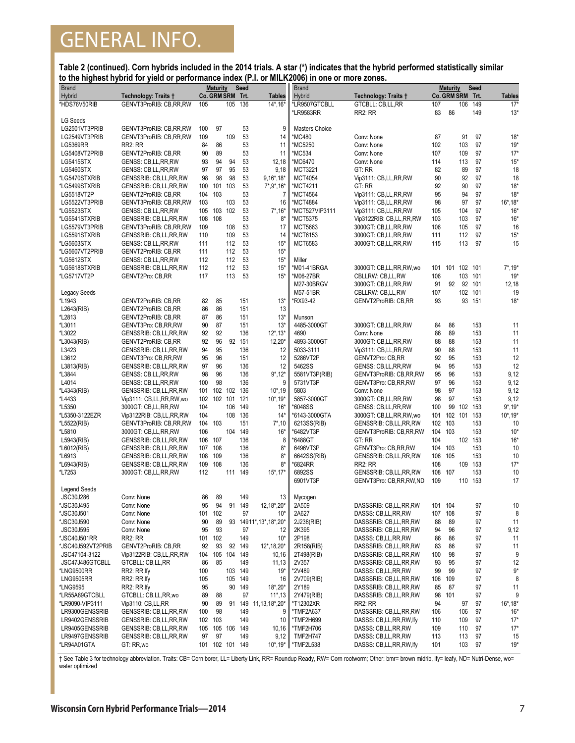**Table 2 (continued). Corn hybrids included in the 2014 trials. A star (\*) indicates that the hybrid performed statistically similar to the highest hybrid for yield or performance index (P.I. or MILK2006) in one or more zones.**

| <b>Brand</b>                         |                                              |          | <b>Maturity</b>       |          | Seed       |                            | <b>Brand</b>                         |                                              |            | <b>Maturity</b>  |            | Seed           |                 |
|--------------------------------------|----------------------------------------------|----------|-----------------------|----------|------------|----------------------------|--------------------------------------|----------------------------------------------|------------|------------------|------------|----------------|-----------------|
| Hybrid                               | Technology: Traits †                         |          | Co. GRM SRM Trt.      |          |            | <b>Tables</b>              | <b>Hybrid</b>                        | Technology: Traits †                         |            | Co. GRM SRM Trt. |            |                | <b>Tables</b>   |
| *HDS76V50RIB                         | GENVT3ProRIB: CB,RR,RW                       | 105      |                       | 105      | 136        | $14^*$ , $16^*$            | *LR9507GTCBLL                        | GTCBLL: CB,LL,RR                             | 107        |                  | 106        | 149            | $17*$           |
|                                      |                                              |          |                       |          |            |                            | *LR9583RR                            | RR <sub>2</sub> : RR                         | 83         | 86               |            | 149            | $13*$           |
| LG Seeds                             |                                              |          |                       |          |            |                            |                                      |                                              |            |                  |            |                |                 |
| LG2501VT3PRIB                        | GENVT3ProRIB: CB,RR,RW                       | 100      | 97                    |          | 53         | 9                          | Masters Choice                       |                                              |            |                  |            |                |                 |
| LG2549VT3PRIB                        | GENVT3ProRIB: CB.RR.RW                       | 109      |                       | 109      | 53         | 14                         | *MC480                               | Conv: None                                   | 87         |                  | 91         | 97             | $18*$           |
| <b>LG5369RR</b>                      | RR <sub>2</sub> : RR                         | 84       | 86                    |          | 53         | 11                         | *MC5250                              | Conv: None                                   | 102        |                  | 103        | 97             | $19*$           |
| LG5408VT2PRIB                        | <b>GENVT2ProRIB: CB,RR</b>                   | 90       | 89<br>94              |          | 53         | 11                         | *MC534                               | Conv: None                                   | 107        |                  | 109        | 97             | $17*$<br>$15*$  |
| <b>LG5415STX</b><br><b>LG5460STX</b> | GENSS: CB,LL,RR,RW<br>GENSS: CB,LL,RR,RW     | 93<br>97 | 97                    | 94<br>95 | 53<br>53   | 12,18<br>9,18              | *MC6470<br><b>MCT3221</b>            | Conv: None<br>GT: RR                         | 114<br>82  |                  | 113<br>89  | 97<br>97       | 18              |
| *LG5470STXRIB                        | GENSSRIB: CB,LL,RR,RW                        | 98       | 98                    | 98       | 53         | $9,16^*$ , 18*             | <b>MCT4054</b>                       | Vip3111: CB,LL,RR,RW                         | 90         |                  | 92         | 97             | 18              |
| *LG5499STXRIB                        | GENSSRIB: CB,LL,RR,RW                        | 100      | 101                   | 103      | 53         | $7^*$ , $9^*$ , $16^*$     | *MCT4211                             | GT: RR                                       | 92         |                  | 90         | 97             | $18*$           |
| LG5518VT2P                           | <b>GENVT2ProRIB: CB,RR</b>                   | 104      | 103                   |          | 53         | $\overline{7}$             | *MCT4564                             | Vip3111: CB,LL,RR,RW                         | 95         |                  | 94         | 97             | $18*$           |
| LG5522VT3PRIB                        | GENVT3ProRIB: CB,RR,RW                       | 103      |                       | 103      | 53         | 16                         | *MCT4884                             | Vip3111: CB,LL,RR,RW                         | 98         |                  | 97         | 97             | $16^*$ , 18 $*$ |
| *LG5523STX                           | GENSS: CB,LL,RR,RW                           | 105      | 103                   | 102      | 53         | $7^*$ , 16 $*$             | *MCT527VIP3111                       | Vip3111: CB,LL,RR,RW                         | 105        |                  | 104        | 97             | $16*$           |
| *LG5541STXRIB                        | GENSSRIB: CB,LL,RR,RW                        | 108 108  |                       |          | 53         | 8*                         | *MCT5375                             | Vip3122RIB: CB,LL,RR,RW                      | 103        |                  | 103        | 97             | $16*$           |
| LG5579VT3PRIB                        | GENVT3ProRIB: CB,RR,RW                       | 109      |                       | 108      | 53         | 17                         | <b>MCT5663</b>                       | 3000GT: CB,LL,RR,RW                          | 106        |                  | 105        | 97             | 16              |
| LG5591STXRIB                         | GENSSRIB: CB,LL,RR,RW                        | 110      |                       | 109      | 53         | 14                         | *MCT6153                             | 3000GT: CB,LL,RR,RW                          | 111        |                  | 112        | 97             | $15*$           |
| *LG5603STX                           | GENSS: CB,LL,RR,RW                           | 111      |                       | 112      | 53         | $15*$                      | <b>MCT6583</b>                       | 3000GT: CB,LL,RR,RW                          | 115        |                  | 113        | 97             | 15              |
| *LG5607VT2PRIB                       | GENVT2ProRIB: CB,RR                          | 111      |                       | 112      | 53         | $15*$                      |                                      |                                              |            |                  |            |                |                 |
| *LG5612STX                           | GENSS: CB,LL,RR,RW                           | 112      |                       | 112      | 53         | $15*$                      | Miller                               |                                              |            |                  |            |                |                 |
| *LG5618STXRIB                        | GENSSRIB: CB,LL,RR,RW                        | 112      |                       | 112      | 53         | $15*$                      | *M01-41BRGA                          | 3000GT: CB,LL,RR,RW,wo                       | 101        | 101 102 101      |            |                | $7^*$ , 19 $*$  |
| *LG5717VT2P                          | GENVT2Pro: CB,RR                             | 117      |                       | 113      | 53         | $15*$                      | *M06-27BR                            | CBLLRW: CB,LL,RW                             | 106        |                  |            | 103 101        | $19*$           |
|                                      |                                              |          |                       |          |            |                            | M27-30BRGV                           | 3000GT: CB,LL,RR,RW                          | 91         | 92               |            | 92 101         | 12,18           |
| Legacy Seeds                         |                                              |          |                       |          |            |                            | M57-51BR                             | CBLLRW: CB,LL,RW                             | 107        |                  |            | 102 101        | 19              |
| *L1943                               | GENVT2ProRIB: CB,RR                          | 82       | 85                    |          | 151        | $13*$                      | *RX93-42                             | GENVT2ProRIB: CB,RR                          | 93         |                  |            | 93 151         | $18*$           |
| L2643(RIB)                           | GENVT2ProRIB: CB,RR                          | 86       | 86                    |          | 151        | 13                         |                                      |                                              |            |                  |            |                |                 |
| *L2813                               | GENVT2ProRIB: CB,RR                          | 87       | 86                    |          | 151        | $13*$                      | Munson                               |                                              |            |                  |            |                |                 |
| *L3011                               | GENVT3Pro: CB,RR,RW                          | 90<br>92 | 87<br>92              |          | 151<br>136 | $13*$<br>$12^*$ , 13*      | 4485-3000GT                          | 3000GT: CB,LL,RR,RW<br>Conv: None            | 84<br>86   | 86<br>89         |            | 153<br>153     | 11<br>11        |
| *L3022<br>*L3043(RIB)                | GENSSRIB: CB,LL,RR,RW<br>GENVT2ProRIB: CB,RR | 92       | 96                    |          | 92 151     | $12,20*$                   | 4690<br>4893-3000GT                  | 3000GT: CB,LL,RR,RW                          | 88         | 88               |            | 153            | 11              |
| L3423                                | GENSSRIB: CB,LL,RR,RW                        | 94       | 95                    |          | 136        | 12                         | 5033-3111                            | Vip3111: CB,LL,RR,RW                         | 90         | 88               |            | 153            | 11              |
| L3612                                | GENVT3Pro: CB,RR,RW                          | 95       | 96                    |          | 151        | 12                         | 5286VT2P                             | GENVT2Pro: CB,RR                             | 92         | 95               |            | 153            | 12              |
| L3813(RIB)                           | GENSSRIB: CB,LL,RR,RW                        | 97       | 96                    |          | 136        | 12                         | 5462SS                               | GENSS: CB,LL,RR,RW                           | 94         | 95               |            | 153            | 12              |
| *L3844                               | GENSS: CB,LL,RR,RW                           | 98       | 96                    |          | 136        | $9^*$ , 12*                | 5581VT3P(RIB)                        | GENVT3ProRIB: CB,RR,RW                       | 95         | 96               |            | 153            | 9,12            |
| L4014                                | GENSS: CB,LL,RR,RW                           | 100      | 98                    |          | 136        | 9                          | 5731VT3P                             | GENVT3Pro: CB,RR,RW                          | 97         | 96               |            | 153            | 9,12            |
| *L4343(RIB)                          | GENSSRIB: CB,LL,RR,RW                        | 101      | 102 102               |          | 136        | $10^*$ , 19                | 5803                                 | Conv: None                                   | 98         | 97               |            | 153            | 9,12            |
| *L4433                               | Vip3111: CB,LL,RR,RW,wo                      | 102      | 102 101               |          | 121        | $10^*$ , 19 $*$            | 5857-3000GT                          | 3000GT: CB,LL,RR,RW                          | 98         | 97               |            | 153            | 9,12            |
| *L5350                               | 3000GT: CB,LL,RR,RW                          | 104      |                       | 106      | 149        | $16*$                      | *6048SS                              | GENSS: CB,LL,RR,RW                           | 100        | 99 102 153       |            |                | $9^*$ , 19*     |
| *L5350-3122EZR                       | Vip3122RIB: CB,LL,RR,RW                      | 104      |                       | 108      | 136        | $14*$                      | *6143-3000GTA                        | 3000GT: CB,LL,RR,RW,wo                       | 101        | 102 101 153      |            |                | $10^*$ , 19*    |
| *L5522(RIB)                          | GENVT3ProRIB: CB,RR,RW                       | 104      | 103                   |          | 151        | $7^*$ , 10                 | 6213SS(RIB)                          | GENSSRIB: CB,LL,RR,RW                        | 102        | 103              |            | 153            | 10              |
| *L5810                               | 3000GT: CB,LL,RR,RW                          | 106      |                       | 104      | 149        | $16*$                      | *6482VT3P                            | GENVT3ProRIB: CB,RR,RW                       | 104        | 103              |            | 153            | $10*$           |
| L5943(RIB)                           | GENSSRIB: CB,LL,RR,RW                        | 106 107  |                       |          | 136        | 8                          | *6488GT                              | GT: RR                                       | 104        |                  |            | 102 153        | $16*$           |
| *L6012(RIB)                          | GENSSRIB: CB,LL,RR,RW                        | 107 108  |                       |          | 136        | $8*$                       | 6496VT3P                             | GENVT3Pro: CB,RR,RW                          | 104        | 103              |            | 153            | 10              |
| *L6913                               | GENSSRIB: CB,LL,RR,RW                        | 108 109  |                       |          | 136        | 8*                         | 6642SS(RIB)                          | GENSSRIB: CB,LL,RR,RW                        | 106        | 105              |            | 153            | 10              |
| *L6943(RIB)                          | GENSSRIB: CB,LL,RR,RW                        | 109 108  |                       |          | 136        | $8*$                       | *6824RR                              | RR <sub>2</sub> : RR                         | 108        |                  |            | 109 153        | $17*$           |
| *L7253                               | 3000GT: CB,LL,RR,RW                          | 112      |                       | 111 149  |            | $15^*$ , 17*               | 6892SS                               | GENSSRIB: CB,LL,RR,RW                        | 108<br>109 | 107              |            | 153<br>110 153 | 10<br>17        |
| <b>Legend Seeds</b>                  |                                              |          |                       |          |            |                            | 6901VT3P                             | GENVT3Pro: CB,RR,RW,ND                       |            |                  |            |                |                 |
| <b>JSC30J286</b>                     | Conv: None                                   | 86       | 89                    |          | 149        | 13                         | Mycogen                              |                                              |            |                  |            |                |                 |
| JSC30J495                            | Conv: None                                   | 95       | 94                    |          | 91 149     | $12,18^{\star},20^{\star}$ | 2A509                                | DASSSRIB: CB,LL,RR,RW                        | 101        | 104              |            | 97             | 10              |
| *JSC30J501                           | Conv: None                                   | 101 102  |                       |          | 97         | $10*$                      | 2A627                                | DASSS: CB,LL,RR,RW                           | 107        | 108              |            | 97             | 8               |
| *JSC30J590                           | Conv: None                                   | 90       | 89                    |          |            | 93 14911*,13*,18*,20*      | 2J238(RIB)                           | DASSSRIB: CB,LL,RR,RW                        | 88         | 89               |            | 97             | 11              |
| JSC30J595                            | Conv: None                                   | 95       | 93                    |          | 97         | 12                         | 2K395                                | DASSSRIB: CB,LL,RR,RW                        | 94         | 96               |            | 97             | 9,12            |
| *JSC40J501RR                         | RR2: RR                                      | 101      | 102                   |          | 149        | $10*$                      | 2P198                                | DASSS: CB,LL,RR,RW                           | 86         | 86               |            | 97             | 11              |
| *JSC40J592VT2PRIB                    | <b>GENVT2ProRIB: CB,RR</b>                   | 92       | 93                    |          | 92 149     | 12*, 18, 20*               | 2R158(RIB)                           | DASSSRIB: CB,LL,RR,RW                        | 83         | 86               |            | 97             | 11              |
| JSC47104-3122                        | Vip3122RIB: CB,LL,RR,RW                      | 104      | 105                   | 104 149  |            | 10,16                      | 2T498(RIB)                           | DASSSRIB: CB,LL,RR,RW                        | 100        | 98               |            | 97             | 9               |
| JSC47J486GTCBLL                      | GTCBLL: CB,LL,RR                             | 86       | 85                    |          | 149        | 11,13                      | 2V357                                | DASSSRIB: CB,LL,RR,RW                        | 93         | 95               |            | 97             | 12              |
| *LNG9500RR                           | RR2: RR, Ify                                 | 100      |                       | 103 149  |            | $19*$                      | *2V489                               | DASSS: CB,LL,RR,RW                           | 99         | 99               |            | 97             | 9*              |
| <b>LNG9505RR</b>                     | RR2: RR, Ify                                 | 105      |                       | 105 149  |            | 16                         | 2V709(RIB)                           | DASSSRIB: CB,LL,RR,RW                        | 106        | 109              |            | 97             | 8               |
| *LNG9595                             | RR2: RR, Ify                                 | 95       |                       | 90       | 149        | $18^*$ , $20^*$            | 2Y189                                | DASSSRIB: CB,LL,RR,RW                        | 85         | 87               |            | 97             | 11              |
| *LR55A89GTCBLL                       | GTCBLL: CB,LL,RR,wo                          | 89       | 88                    |          | 97         | $11^*$ , 13                | 2Y479(RIB)                           | DASSSRIB: CB,LL,RR,RW                        | 98         | 101              |            | 97             | 9               |
| *LR9090-VIP3111                      | Vip3110: CB,LL,RR                            | 90       | 89                    |          | 91 149     | 11, 13, 18*, 20*           | *T12302XR                            | RR2: RR                                      | 94         |                  | 97         | 97             | $16^*$ , $18^*$ |
| LR9300GENSSRIB                       | GENSSRIB: CB,LL,RR,RW                        | 100      | 98                    |          | 149        | 9                          | *TMF2A637                            | DASSSRIB: CB,LL,RR,RW                        | 106        |                  | 106        | 97             | $16*$           |
| LR9402GENSSRIB                       | GENSSRIB: CB,LL,RR,RW                        | 102 103  |                       |          | 149        | 10                         | *TMF2H699                            | DASSS: CB,LL,RR,RW, Ify                      | 110        |                  | 109        | 97             | $17*$           |
| LR9405GENSSRIB                       | GENSSRIB: CB,LL,RR,RW                        | 105      | 105 106 149           |          |            | 10,16                      | *TMF2H706                            | DASSS: CB,LL,RR,RW                           | 109        |                  | 110        | 97             | $17*$           |
| LR9497GENSSRIB<br>*LR94A01GTA        | GENSSRIB: CB,LL,RR,RW<br>GT: RR, wo          | 97       | 97<br>101 102 101 149 |          | 149        | 9,12                       | <b>TMF2H747</b><br>10*,19* *TMF2L538 | DASSS: CB,LL,RR,RW<br>DASSS: CB,LL,RR,RW,Ify | 113<br>101 |                  | 113<br>103 | 97<br>97       | 15<br>$19*$     |
|                                      |                                              |          |                       |          |            |                            |                                      |                                              |            |                  |            |                |                 |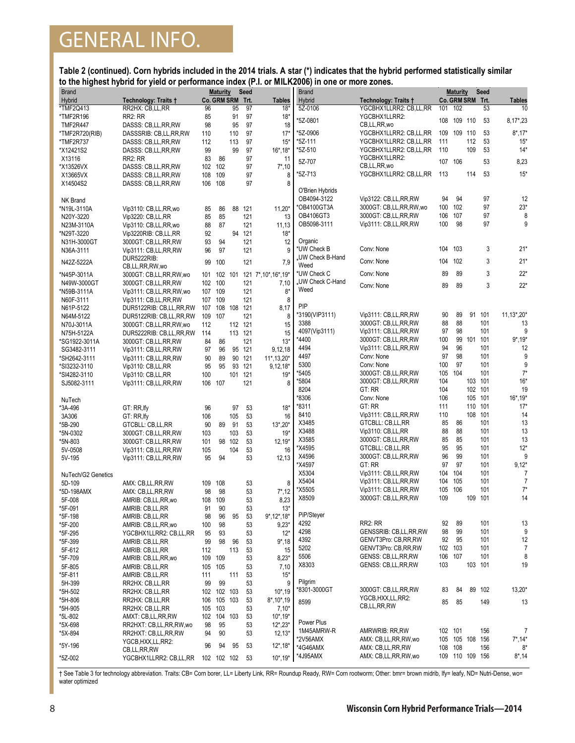#### **Table 2 (continued). Corn hybrids included in the 2014 trials. A star (\*) indicates that the hybrid performed statistically similar to the highest hybrid for yield or performance index (P.I. or MILK2006) in one or more zones.**

| Co. GRM SRM Trt.<br><b>Hybrid</b><br>Co. GRM SRM Trt.<br><b>Hybrid</b><br>Technology: Traits †<br><b>Tables</b><br>Technology: Traits +<br><b>Tables</b><br>RR2HX: CB,LL,RR<br>96<br>95<br>97<br>5Z-0106<br>YGCBHX1LLRR2: CB,LL,RR<br>101<br>102<br>53<br>*TMF2Q413<br>$18*$<br>10<br>85<br>91<br>97<br>$18*$<br>*TMF2R196<br>RR <sub>2</sub> : RR<br>YGCBHX1LLRR2:<br>*5Z-0801<br>108<br>109 110<br>53<br>8,17*,23<br>CB,LL,RR,wo<br>DASSS: CB,LL,RR,RW<br>98<br>95<br>97<br>18<br><b>TMF2R447</b><br>$8*,17*$<br>$17*$<br>*5Z-0906<br>109<br>109<br>110<br>53<br>97<br>YGCBHX1LLRR2: CB,LL,RR<br>*TMF2R720(RIB)<br>DASSSRIB: CB,LL,RR,RW<br>110<br>110<br>*5Z-111<br>111<br>112<br>53<br>$15*$<br>YGCBHX1LLRR2: CB,LL,RR<br>112<br>113<br>97<br>$15*$<br>*TMF2R737<br>DASSS: CB,LL,RR,RW<br>109<br>*5Z-510<br>110<br>53<br>$14*$<br>99<br>99<br>$16^*$ , $18^*$<br>YGCBHX1LLRR2: CB,LL,RR<br>*X12421S2<br>97<br>DASSS: CB,LL,RR,RW<br>YGCBHX1LLRR2:<br>83<br>86<br>97<br>X13116<br>RR2: RR<br>11<br>8,23<br>5Z-707<br>107 106<br>53<br>CB,LL,RR,wo<br>*X13526VX<br>DASSS: CB,LL,RR,RW<br>102<br>102<br>97<br>$7^*$ , 10<br>$15*$<br>*5Z-713<br>YGCBHX1LLRR2: CB,LL,RR<br>113<br>114<br>53<br>X13665VX<br>108<br>109<br>97<br>8<br>DASSS: CB,LL,RR,RW<br>97<br>X14504S2<br>106<br>108<br>8<br>DASSS: CB,LL,RR,RW<br>O'Brien Hybrids<br>OB4094-3122<br>Vip3122: CB,LL,RR,RW<br>94<br>94<br>97<br>12<br>NK Brand<br>3000GT: CB,LL,RR,RW,wo<br>100<br>102<br>97<br>$23*$<br>*OB4100GT3A<br>Vip3110: CB,LL,RR,wo<br>88 121<br>$11,20*$<br>*N19L-3110A<br>85<br>86<br>107<br>97<br>8<br>OB4106GT3<br>3000GT: CB,LL,RR,RW<br>106<br>85<br>85<br>121<br>N20Y-3220<br>Vip3220: CB, LL, RR<br>13<br>9<br>100<br>98<br>97<br>OB5098-3111<br>Vip3111: CB,LL,RR,RW<br>88<br>87<br>121<br>11,13<br>N23M-3110A<br>Vip3110: CB,LL,RR,wo<br>94 121<br>*N29T-3220<br>92<br>$18*$<br>Vip3220RIB: CB,LL,RR<br>Organic<br>93<br>94<br>121<br>12<br>N31H-3000GT<br>3000GT: CB,LL,RR,RW<br>3<br>$21*$<br>*UW Check B<br>Conv: None<br>104<br>103<br>96<br>97<br>121<br>g<br>N36A-3111<br>Vip3111: CB,LL,RR,RW<br>.UW Check B-Hand<br>DUR5222RIB:<br>102<br>3<br>$21*$<br>Conv: None<br>104<br>121<br>N42Z-5222A<br>99<br>100<br>7,9<br>Weed<br>CB,LL,RR,RW,wo<br>$22*$<br>*UW Check C<br>Conv: None<br>89<br>89<br>3<br>*N45P-3011A<br>102 101 121 7*,10*,16*,19*<br>3000GT: CB,LL,RR,RW,wo<br>101<br>UW Check C-Hand<br>102 100<br>121<br>7,10<br>N49W-3000GT<br>3000GT: CB,LL,RR,RW<br>$22*$<br>3<br>Conv: None<br>89<br>89<br>Weed<br>107 109<br>8*<br>*N59B-3111A<br>Vip3111: CB,LL,RR,RW,wo<br>121<br>8<br>107 109<br>121<br>N60F-3111<br>Vip3111: CB,LL,RR,RW<br>PIP<br>108 108 121<br>8,17<br>N61P-5122<br>DUR5122RIB: CB,LL,RR,RW<br>107<br>*3190(VIP3111)<br>Vip3111: CB,LL,RR,RW<br>90<br>89<br>91 101<br>11,13*,20*<br>109 107<br>121<br>8<br>N64M-5122<br>DUR5122RIB: CB,LL,RR,RW<br>3388<br>3000GT: CB,LL,RR,RW<br>88<br>88<br>101<br>13<br>15<br>112<br>112 121<br>N70J-3011A<br>3000GT: CB,LL,RR,RW,wo<br>98<br>4097(Vip3111)<br>Vip3111: CB,LL,RR,RW<br>97<br>101<br>g<br>15<br>114<br>113 121<br>N75H-5122A<br>DUR5222RIB: CB,LL,RR,RW<br>100<br>99 101 101<br>$9^*$ , 19*<br>4400*<br>3000GT: CB,LL,RR,RW<br>121<br>$13*$<br>*SG1922-3011A<br>84<br>86<br>3000GT: CB,LL,RR,RW<br>96<br>4494<br>94<br>101<br>12<br>Vip3111: CB,LL,RR,RW<br>97<br>96<br>95 121<br>9,12,18<br>SG3482-3111<br>Vip3111: CB,LL,RR,RW<br>Conv: None<br>97<br>98<br>101<br>9<br>4497<br>89<br>*SH2642-3111<br>90<br>90 121<br>11*, 13, 20*<br>Vip3111: CB,LL,RR,RW<br>5300<br>Conv: None<br>100<br>97<br>101<br>9<br>95<br>93 121<br>*SI3232-3110<br>95<br>$9,12,18*$<br>Vip3110: CB,LL,RR<br>$7^*$<br>105<br>104<br>101<br>*5405<br>3000GT: CB,LL,RR,RW<br>100<br>101 121<br>$19*$<br>*SI4282-3110<br>Vip3110: CB,LL,RR<br>$16*$<br>*5804<br>104<br>103 101<br>3000GT: CB,LL,RR,RW<br>106<br>107<br>121<br>8<br>SJ5082-3111<br>Vip3111: CB,LL,RR,RW<br>8204<br>GT: RR<br>104<br>102 101<br>19<br>*8306<br>106<br>105 101<br>$16^*$ , 19 $*$<br>Conv: None<br>NuTech<br>110 101<br>*8311<br>GT: RR<br>111<br>$17*$<br>97<br>53<br>$18*$<br>*3A-496<br>GT: RR, Ify<br>96<br>108 101<br>110<br>14<br>8410<br>Vip3111: CB,LL,RR,RW<br>GT: RR, Ify<br>106<br>105<br>53<br>16<br>3A306<br>85<br>86<br>101<br>13<br>X3485<br>GTCBLL: CB,LL,RR<br>90<br>89<br>91<br>53<br>$13^*$ , $20^*$<br>*5B-290<br>GTCBLL: CB,LL,RR<br>X3488<br>88<br>88<br>101<br>13<br>Vip3110: CB,LL,RR<br>53<br>103<br>103<br>$19*$<br>*5N-0302<br>3000GT: CB,LL,RR,RW<br>X3585<br>85<br>85<br>101<br>13<br>3000GT: CB,LL,RR,RW<br>53<br>12,19*<br>101<br>98 102<br>*5N-803<br>3000GT: CB,LL,RR,RW<br>$12*$<br>*X4595<br>95<br>95<br>101<br>GTCBLL: CB,LL,RR<br>53<br>5V-0508<br>Vip3111: CB,LL,RR,RW<br>105<br>104<br>16<br>96<br>99<br>101<br>g<br>X4596<br>3000GT: CB,LL,RR,RW<br>5V-195<br>95<br>94<br>53<br>12,13<br>Vip3111: CB,LL,RR,RW<br>$9,12*$<br>*X4597<br>GT: RR<br>97<br>97<br>101<br>X5304<br>Vip3111: CB,LL,RR,RW<br>104<br>104<br>101<br>7<br>NuTech/G2 Genetics<br>104<br>105<br>$\overline{7}$<br>X5404<br>Vip3111: CB,LL,RR,RW<br>101<br>5D-109<br>AMX: CB,LL,RR,RW<br>109<br>108<br>53<br>8<br>$7^*$<br>105<br>106<br>101<br>*X5505<br>Vip3111: CB,LL,RR,RW<br>*5D-198AMX<br>98<br>98<br>53<br>$7^*$ , 12<br>AMX: CB,LL,RR,RW<br>109<br>14<br>X8509<br>3000GT: CB,LL,RR,RW<br>109 101<br>8,23<br>5F-008<br>108 109<br>53<br>AMRIB: CB,LL,RR,wo<br>*5F-091<br>AMRIB: CB,LL,RR<br>91<br>90<br>53<br>$13*$<br>PiP/Steyer<br>53<br>$9^*$ , 12 $^*$ , 18 $^*$<br>*5F-198<br>AMRIB: CB,LL,RR<br>98<br>96<br>95<br>RR2: RR<br>92<br>13<br>4292<br>89<br>101<br>98<br>$9,23*$<br>*5F-200<br>AMRIB: CB,LL,RR,wo<br>100<br>53<br>4298<br>98<br>99<br>9<br>GENSSRIB: CB,LL,RR,RW<br>101<br>53<br>*5F-295<br>YGCBHX1LLRR2: CB,LL,RR<br>95<br>93<br>$12*$<br>95<br>12<br>4392<br>92<br>101<br>GENVT3Pro: CB,RR,RW<br>99<br>98<br>*5F-399<br>53<br>$9*18$<br>96<br>AMRIB: CB,LL,RR<br>5202<br>102<br>103<br>GENVT3Pro: CB,RR,RW<br>101<br>7<br>112<br>113<br>53<br>15<br>5F-612<br>AMRIB: CB,LL,RR<br>8<br>GENSS: CB,LL,RR,RW<br>106<br>107<br>101<br>5506<br>*5F-709<br>109<br>109<br>53<br>$8,23*$<br>AMRIB: CB,LL,RR,wo<br><b>GENSS: CB,LL,RR,RW</b><br>103<br>103 101<br>19<br>X8303<br>5F-805<br>105 105<br>53<br>7,10<br>AMRIB: CB,LL,RR<br>*5F-811<br>111<br>111<br>53<br>$15*$<br>AMRIB: CB,LL,RR<br>Pilgrim<br>99<br>5H-399<br>99<br>53<br>g<br>RR2HX: CB,LL,RR<br>3000GT: CB,LL,RR,RW<br>89 102<br>$13,20*$<br>*8301-3000GT<br>83<br>84<br>102 102 103<br>*5H-502<br>RR2HX: CB,LL,RR<br>53<br>$10^*$ , 19<br>YGCB.HXX.LL.RR2:<br>*5H-806<br>105 103<br>RR2HX: CB,LL,RR<br>106<br>53<br>$8^*$ , 10 $*$ , 19<br>8599<br>149<br>13<br>85<br>85<br>CB,LL,RR,RW<br>*5H-905<br>105<br>103<br>$7,10*$<br>RR2HX: CB,LL,RR<br>53<br>*5L-802<br>102<br>104 103<br>$10^*$ , 19 $*$<br>AMXT: CB,LL,RR,RW<br>53<br>Power Plus<br>98<br>95<br>*5X-698<br>RR2HXT: CB,LL,RR,RW,wo<br>53<br>$12^*$ , $23^*$<br>102<br>101<br>$\overline{7}$<br>1M45AMRW-R<br>AMRWRIB: RR, RW<br>156<br>90<br>*5X-894<br>RR2HXT: CB,LL,RR,RW<br>94<br>53<br>$12,13*$<br>105 108 156<br>*2V56AMX<br>AMX: CB,LL,RR,RW,wo<br>105<br>$7^*$ , 14 $*$<br>YGCB, HXX, LL, RR2:<br>*5Y-196<br>96<br>94<br>95<br>53<br>$12^*$ , 18 $*$<br>*4G46AMX<br>108<br>AMX: CB,LL,RR,RW<br>108<br>156<br>8*<br>CB,LL,RR,RW<br>*4J95AMX<br>110 109 156<br>$8^*$ , 14<br>AMX: CB,LL,RR,RW,wo<br>109<br>*5Z-002<br>53<br>$10^*$ , $19^*$<br>YGCBHX1LLRR2: CB,LL,RR<br>102 102 102 | <b>Brand</b> |  | <b>Maturity</b> | Seed | <b>Brand</b> |  | <b>Maturity</b> | Seed |  |
|----------------------------------------------------------------------------------------------------------------------------------------------------------------------------------------------------------------------------------------------------------------------------------------------------------------------------------------------------------------------------------------------------------------------------------------------------------------------------------------------------------------------------------------------------------------------------------------------------------------------------------------------------------------------------------------------------------------------------------------------------------------------------------------------------------------------------------------------------------------------------------------------------------------------------------------------------------------------------------------------------------------------------------------------------------------------------------------------------------------------------------------------------------------------------------------------------------------------------------------------------------------------------------------------------------------------------------------------------------------------------------------------------------------------------------------------------------------------------------------------------------------------------------------------------------------------------------------------------------------------------------------------------------------------------------------------------------------------------------------------------------------------------------------------------------------------------------------------------------------------------------------------------------------------------------------------------------------------------------------------------------------------------------------------------------------------------------------------------------------------------------------------------------------------------------------------------------------------------------------------------------------------------------------------------------------------------------------------------------------------------------------------------------------------------------------------------------------------------------------------------------------------------------------------------------------------------------------------------------------------------------------------------------------------------------------------------------------------------------------------------------------------------------------------------------------------------------------------------------------------------------------------------------------------------------------------------------------------------------------------------------------------------------------------------------------------------------------------------------------------------------------------------------------------------------------------------------------------------------------------------------------------------------------------------------------------------------------------------------------------------------------------------------------------------------------------------------------------------------------------------------------------------------------------------------------------------------------------------------------------------------------------------------------------------------------------------------------------------------------------------------------------------------------------------------------------------------------------------------------------------------------------------------------------------------------------------------------------------------------------------------------------------------------------------------------------------------------------------------------------------------------------------------------------------------------------------------------------------------------------------------------------------------------------------------------------------------------------------------------------------------------------------------------------------------------------------------------------------------------------------------------------------------------------------------------------------------------------------------------------------------------------------------------------------------------------------------------------------------------------------------------------------------------------------------------------------------------------------------------------------------------------------------------------------------------------------------------------------------------------------------------------------------------------------------------------------------------------------------------------------------------------------------------------------------------------------------------------------------------------------------------------------------------------------------------------------------------------------------------------------------------------------------------------------------------------------------------------------------------------------------------------------------------------------------------------------------------------------------------------------------------------------------------------------------------------------------------------------------------------------------------------------------------------------------------------------------------------------------------------------------------------------------------------------------------------------------------------------------------------------------------------------------------------------------------------------------------------------------------------------------------------------------------------------------------------------------------------------------------------------------------------------------------------------------------------------------------------------------------------------------------------------------------------------------------------------------------------------------------------------------------------------------------------------------------------------------------------------------------------------------------------------------------------------------------------------------------------------------------------------------------------------------------------------------------------------------------------------------------------------------------------------------------------------------------------------------------------------------------------------------------------------------------------------------------------------------------------------------------------------------------------------------------------------------------------------------------------------------------------------------------------------------------------------------------------------------------------------------------------------------------------------------------------------------------------------------------------------------|--------------|--|-----------------|------|--------------|--|-----------------|------|--|
|                                                                                                                                                                                                                                                                                                                                                                                                                                                                                                                                                                                                                                                                                                                                                                                                                                                                                                                                                                                                                                                                                                                                                                                                                                                                                                                                                                                                                                                                                                                                                                                                                                                                                                                                                                                                                                                                                                                                                                                                                                                                                                                                                                                                                                                                                                                                                                                                                                                                                                                                                                                                                                                                                                                                                                                                                                                                                                                                                                                                                                                                                                                                                                                                                                                                                                                                                                                                                                                                                                                                                                                                                                                                                                                                                                                                                                                                                                                                                                                                                                                                                                                                                                                                                                                                                                                                                                                                                                                                                                                                                                                                                                                                                                                                                                                                                                                                                                                                                                                                                                                                                                                                                                                                                                                                                                                                                                                                                                                                                                                                                                                                                                                                                                                                                                                                                                                                                                                                                                                                                                                                                                                                                                                                                                                                                                                                                                                                                                                                                                                                                                                                                                                                                                                                                                                                                                                                                                                                                                                                                                                                                                                                                                                                                                                                                                                                                                                                                                                                                  |              |  |                 |      |              |  |                 |      |  |
|                                                                                                                                                                                                                                                                                                                                                                                                                                                                                                                                                                                                                                                                                                                                                                                                                                                                                                                                                                                                                                                                                                                                                                                                                                                                                                                                                                                                                                                                                                                                                                                                                                                                                                                                                                                                                                                                                                                                                                                                                                                                                                                                                                                                                                                                                                                                                                                                                                                                                                                                                                                                                                                                                                                                                                                                                                                                                                                                                                                                                                                                                                                                                                                                                                                                                                                                                                                                                                                                                                                                                                                                                                                                                                                                                                                                                                                                                                                                                                                                                                                                                                                                                                                                                                                                                                                                                                                                                                                                                                                                                                                                                                                                                                                                                                                                                                                                                                                                                                                                                                                                                                                                                                                                                                                                                                                                                                                                                                                                                                                                                                                                                                                                                                                                                                                                                                                                                                                                                                                                                                                                                                                                                                                                                                                                                                                                                                                                                                                                                                                                                                                                                                                                                                                                                                                                                                                                                                                                                                                                                                                                                                                                                                                                                                                                                                                                                                                                                                                                                  |              |  |                 |      |              |  |                 |      |  |
|                                                                                                                                                                                                                                                                                                                                                                                                                                                                                                                                                                                                                                                                                                                                                                                                                                                                                                                                                                                                                                                                                                                                                                                                                                                                                                                                                                                                                                                                                                                                                                                                                                                                                                                                                                                                                                                                                                                                                                                                                                                                                                                                                                                                                                                                                                                                                                                                                                                                                                                                                                                                                                                                                                                                                                                                                                                                                                                                                                                                                                                                                                                                                                                                                                                                                                                                                                                                                                                                                                                                                                                                                                                                                                                                                                                                                                                                                                                                                                                                                                                                                                                                                                                                                                                                                                                                                                                                                                                                                                                                                                                                                                                                                                                                                                                                                                                                                                                                                                                                                                                                                                                                                                                                                                                                                                                                                                                                                                                                                                                                                                                                                                                                                                                                                                                                                                                                                                                                                                                                                                                                                                                                                                                                                                                                                                                                                                                                                                                                                                                                                                                                                                                                                                                                                                                                                                                                                                                                                                                                                                                                                                                                                                                                                                                                                                                                                                                                                                                                                  |              |  |                 |      |              |  |                 |      |  |
|                                                                                                                                                                                                                                                                                                                                                                                                                                                                                                                                                                                                                                                                                                                                                                                                                                                                                                                                                                                                                                                                                                                                                                                                                                                                                                                                                                                                                                                                                                                                                                                                                                                                                                                                                                                                                                                                                                                                                                                                                                                                                                                                                                                                                                                                                                                                                                                                                                                                                                                                                                                                                                                                                                                                                                                                                                                                                                                                                                                                                                                                                                                                                                                                                                                                                                                                                                                                                                                                                                                                                                                                                                                                                                                                                                                                                                                                                                                                                                                                                                                                                                                                                                                                                                                                                                                                                                                                                                                                                                                                                                                                                                                                                                                                                                                                                                                                                                                                                                                                                                                                                                                                                                                                                                                                                                                                                                                                                                                                                                                                                                                                                                                                                                                                                                                                                                                                                                                                                                                                                                                                                                                                                                                                                                                                                                                                                                                                                                                                                                                                                                                                                                                                                                                                                                                                                                                                                                                                                                                                                                                                                                                                                                                                                                                                                                                                                                                                                                                                                  |              |  |                 |      |              |  |                 |      |  |
|                                                                                                                                                                                                                                                                                                                                                                                                                                                                                                                                                                                                                                                                                                                                                                                                                                                                                                                                                                                                                                                                                                                                                                                                                                                                                                                                                                                                                                                                                                                                                                                                                                                                                                                                                                                                                                                                                                                                                                                                                                                                                                                                                                                                                                                                                                                                                                                                                                                                                                                                                                                                                                                                                                                                                                                                                                                                                                                                                                                                                                                                                                                                                                                                                                                                                                                                                                                                                                                                                                                                                                                                                                                                                                                                                                                                                                                                                                                                                                                                                                                                                                                                                                                                                                                                                                                                                                                                                                                                                                                                                                                                                                                                                                                                                                                                                                                                                                                                                                                                                                                                                                                                                                                                                                                                                                                                                                                                                                                                                                                                                                                                                                                                                                                                                                                                                                                                                                                                                                                                                                                                                                                                                                                                                                                                                                                                                                                                                                                                                                                                                                                                                                                                                                                                                                                                                                                                                                                                                                                                                                                                                                                                                                                                                                                                                                                                                                                                                                                                                  |              |  |                 |      |              |  |                 |      |  |
|                                                                                                                                                                                                                                                                                                                                                                                                                                                                                                                                                                                                                                                                                                                                                                                                                                                                                                                                                                                                                                                                                                                                                                                                                                                                                                                                                                                                                                                                                                                                                                                                                                                                                                                                                                                                                                                                                                                                                                                                                                                                                                                                                                                                                                                                                                                                                                                                                                                                                                                                                                                                                                                                                                                                                                                                                                                                                                                                                                                                                                                                                                                                                                                                                                                                                                                                                                                                                                                                                                                                                                                                                                                                                                                                                                                                                                                                                                                                                                                                                                                                                                                                                                                                                                                                                                                                                                                                                                                                                                                                                                                                                                                                                                                                                                                                                                                                                                                                                                                                                                                                                                                                                                                                                                                                                                                                                                                                                                                                                                                                                                                                                                                                                                                                                                                                                                                                                                                                                                                                                                                                                                                                                                                                                                                                                                                                                                                                                                                                                                                                                                                                                                                                                                                                                                                                                                                                                                                                                                                                                                                                                                                                                                                                                                                                                                                                                                                                                                                                                  |              |  |                 |      |              |  |                 |      |  |
|                                                                                                                                                                                                                                                                                                                                                                                                                                                                                                                                                                                                                                                                                                                                                                                                                                                                                                                                                                                                                                                                                                                                                                                                                                                                                                                                                                                                                                                                                                                                                                                                                                                                                                                                                                                                                                                                                                                                                                                                                                                                                                                                                                                                                                                                                                                                                                                                                                                                                                                                                                                                                                                                                                                                                                                                                                                                                                                                                                                                                                                                                                                                                                                                                                                                                                                                                                                                                                                                                                                                                                                                                                                                                                                                                                                                                                                                                                                                                                                                                                                                                                                                                                                                                                                                                                                                                                                                                                                                                                                                                                                                                                                                                                                                                                                                                                                                                                                                                                                                                                                                                                                                                                                                                                                                                                                                                                                                                                                                                                                                                                                                                                                                                                                                                                                                                                                                                                                                                                                                                                                                                                                                                                                                                                                                                                                                                                                                                                                                                                                                                                                                                                                                                                                                                                                                                                                                                                                                                                                                                                                                                                                                                                                                                                                                                                                                                                                                                                                                                  |              |  |                 |      |              |  |                 |      |  |
|                                                                                                                                                                                                                                                                                                                                                                                                                                                                                                                                                                                                                                                                                                                                                                                                                                                                                                                                                                                                                                                                                                                                                                                                                                                                                                                                                                                                                                                                                                                                                                                                                                                                                                                                                                                                                                                                                                                                                                                                                                                                                                                                                                                                                                                                                                                                                                                                                                                                                                                                                                                                                                                                                                                                                                                                                                                                                                                                                                                                                                                                                                                                                                                                                                                                                                                                                                                                                                                                                                                                                                                                                                                                                                                                                                                                                                                                                                                                                                                                                                                                                                                                                                                                                                                                                                                                                                                                                                                                                                                                                                                                                                                                                                                                                                                                                                                                                                                                                                                                                                                                                                                                                                                                                                                                                                                                                                                                                                                                                                                                                                                                                                                                                                                                                                                                                                                                                                                                                                                                                                                                                                                                                                                                                                                                                                                                                                                                                                                                                                                                                                                                                                                                                                                                                                                                                                                                                                                                                                                                                                                                                                                                                                                                                                                                                                                                                                                                                                                                                  |              |  |                 |      |              |  |                 |      |  |
|                                                                                                                                                                                                                                                                                                                                                                                                                                                                                                                                                                                                                                                                                                                                                                                                                                                                                                                                                                                                                                                                                                                                                                                                                                                                                                                                                                                                                                                                                                                                                                                                                                                                                                                                                                                                                                                                                                                                                                                                                                                                                                                                                                                                                                                                                                                                                                                                                                                                                                                                                                                                                                                                                                                                                                                                                                                                                                                                                                                                                                                                                                                                                                                                                                                                                                                                                                                                                                                                                                                                                                                                                                                                                                                                                                                                                                                                                                                                                                                                                                                                                                                                                                                                                                                                                                                                                                                                                                                                                                                                                                                                                                                                                                                                                                                                                                                                                                                                                                                                                                                                                                                                                                                                                                                                                                                                                                                                                                                                                                                                                                                                                                                                                                                                                                                                                                                                                                                                                                                                                                                                                                                                                                                                                                                                                                                                                                                                                                                                                                                                                                                                                                                                                                                                                                                                                                                                                                                                                                                                                                                                                                                                                                                                                                                                                                                                                                                                                                                                                  |              |  |                 |      |              |  |                 |      |  |
|                                                                                                                                                                                                                                                                                                                                                                                                                                                                                                                                                                                                                                                                                                                                                                                                                                                                                                                                                                                                                                                                                                                                                                                                                                                                                                                                                                                                                                                                                                                                                                                                                                                                                                                                                                                                                                                                                                                                                                                                                                                                                                                                                                                                                                                                                                                                                                                                                                                                                                                                                                                                                                                                                                                                                                                                                                                                                                                                                                                                                                                                                                                                                                                                                                                                                                                                                                                                                                                                                                                                                                                                                                                                                                                                                                                                                                                                                                                                                                                                                                                                                                                                                                                                                                                                                                                                                                                                                                                                                                                                                                                                                                                                                                                                                                                                                                                                                                                                                                                                                                                                                                                                                                                                                                                                                                                                                                                                                                                                                                                                                                                                                                                                                                                                                                                                                                                                                                                                                                                                                                                                                                                                                                                                                                                                                                                                                                                                                                                                                                                                                                                                                                                                                                                                                                                                                                                                                                                                                                                                                                                                                                                                                                                                                                                                                                                                                                                                                                                                                  |              |  |                 |      |              |  |                 |      |  |
|                                                                                                                                                                                                                                                                                                                                                                                                                                                                                                                                                                                                                                                                                                                                                                                                                                                                                                                                                                                                                                                                                                                                                                                                                                                                                                                                                                                                                                                                                                                                                                                                                                                                                                                                                                                                                                                                                                                                                                                                                                                                                                                                                                                                                                                                                                                                                                                                                                                                                                                                                                                                                                                                                                                                                                                                                                                                                                                                                                                                                                                                                                                                                                                                                                                                                                                                                                                                                                                                                                                                                                                                                                                                                                                                                                                                                                                                                                                                                                                                                                                                                                                                                                                                                                                                                                                                                                                                                                                                                                                                                                                                                                                                                                                                                                                                                                                                                                                                                                                                                                                                                                                                                                                                                                                                                                                                                                                                                                                                                                                                                                                                                                                                                                                                                                                                                                                                                                                                                                                                                                                                                                                                                                                                                                                                                                                                                                                                                                                                                                                                                                                                                                                                                                                                                                                                                                                                                                                                                                                                                                                                                                                                                                                                                                                                                                                                                                                                                                                                                  |              |  |                 |      |              |  |                 |      |  |
|                                                                                                                                                                                                                                                                                                                                                                                                                                                                                                                                                                                                                                                                                                                                                                                                                                                                                                                                                                                                                                                                                                                                                                                                                                                                                                                                                                                                                                                                                                                                                                                                                                                                                                                                                                                                                                                                                                                                                                                                                                                                                                                                                                                                                                                                                                                                                                                                                                                                                                                                                                                                                                                                                                                                                                                                                                                                                                                                                                                                                                                                                                                                                                                                                                                                                                                                                                                                                                                                                                                                                                                                                                                                                                                                                                                                                                                                                                                                                                                                                                                                                                                                                                                                                                                                                                                                                                                                                                                                                                                                                                                                                                                                                                                                                                                                                                                                                                                                                                                                                                                                                                                                                                                                                                                                                                                                                                                                                                                                                                                                                                                                                                                                                                                                                                                                                                                                                                                                                                                                                                                                                                                                                                                                                                                                                                                                                                                                                                                                                                                                                                                                                                                                                                                                                                                                                                                                                                                                                                                                                                                                                                                                                                                                                                                                                                                                                                                                                                                                                  |              |  |                 |      |              |  |                 |      |  |
|                                                                                                                                                                                                                                                                                                                                                                                                                                                                                                                                                                                                                                                                                                                                                                                                                                                                                                                                                                                                                                                                                                                                                                                                                                                                                                                                                                                                                                                                                                                                                                                                                                                                                                                                                                                                                                                                                                                                                                                                                                                                                                                                                                                                                                                                                                                                                                                                                                                                                                                                                                                                                                                                                                                                                                                                                                                                                                                                                                                                                                                                                                                                                                                                                                                                                                                                                                                                                                                                                                                                                                                                                                                                                                                                                                                                                                                                                                                                                                                                                                                                                                                                                                                                                                                                                                                                                                                                                                                                                                                                                                                                                                                                                                                                                                                                                                                                                                                                                                                                                                                                                                                                                                                                                                                                                                                                                                                                                                                                                                                                                                                                                                                                                                                                                                                                                                                                                                                                                                                                                                                                                                                                                                                                                                                                                                                                                                                                                                                                                                                                                                                                                                                                                                                                                                                                                                                                                                                                                                                                                                                                                                                                                                                                                                                                                                                                                                                                                                                                                  |              |  |                 |      |              |  |                 |      |  |
|                                                                                                                                                                                                                                                                                                                                                                                                                                                                                                                                                                                                                                                                                                                                                                                                                                                                                                                                                                                                                                                                                                                                                                                                                                                                                                                                                                                                                                                                                                                                                                                                                                                                                                                                                                                                                                                                                                                                                                                                                                                                                                                                                                                                                                                                                                                                                                                                                                                                                                                                                                                                                                                                                                                                                                                                                                                                                                                                                                                                                                                                                                                                                                                                                                                                                                                                                                                                                                                                                                                                                                                                                                                                                                                                                                                                                                                                                                                                                                                                                                                                                                                                                                                                                                                                                                                                                                                                                                                                                                                                                                                                                                                                                                                                                                                                                                                                                                                                                                                                                                                                                                                                                                                                                                                                                                                                                                                                                                                                                                                                                                                                                                                                                                                                                                                                                                                                                                                                                                                                                                                                                                                                                                                                                                                                                                                                                                                                                                                                                                                                                                                                                                                                                                                                                                                                                                                                                                                                                                                                                                                                                                                                                                                                                                                                                                                                                                                                                                                                                  |              |  |                 |      |              |  |                 |      |  |
|                                                                                                                                                                                                                                                                                                                                                                                                                                                                                                                                                                                                                                                                                                                                                                                                                                                                                                                                                                                                                                                                                                                                                                                                                                                                                                                                                                                                                                                                                                                                                                                                                                                                                                                                                                                                                                                                                                                                                                                                                                                                                                                                                                                                                                                                                                                                                                                                                                                                                                                                                                                                                                                                                                                                                                                                                                                                                                                                                                                                                                                                                                                                                                                                                                                                                                                                                                                                                                                                                                                                                                                                                                                                                                                                                                                                                                                                                                                                                                                                                                                                                                                                                                                                                                                                                                                                                                                                                                                                                                                                                                                                                                                                                                                                                                                                                                                                                                                                                                                                                                                                                                                                                                                                                                                                                                                                                                                                                                                                                                                                                                                                                                                                                                                                                                                                                                                                                                                                                                                                                                                                                                                                                                                                                                                                                                                                                                                                                                                                                                                                                                                                                                                                                                                                                                                                                                                                                                                                                                                                                                                                                                                                                                                                                                                                                                                                                                                                                                                                                  |              |  |                 |      |              |  |                 |      |  |
|                                                                                                                                                                                                                                                                                                                                                                                                                                                                                                                                                                                                                                                                                                                                                                                                                                                                                                                                                                                                                                                                                                                                                                                                                                                                                                                                                                                                                                                                                                                                                                                                                                                                                                                                                                                                                                                                                                                                                                                                                                                                                                                                                                                                                                                                                                                                                                                                                                                                                                                                                                                                                                                                                                                                                                                                                                                                                                                                                                                                                                                                                                                                                                                                                                                                                                                                                                                                                                                                                                                                                                                                                                                                                                                                                                                                                                                                                                                                                                                                                                                                                                                                                                                                                                                                                                                                                                                                                                                                                                                                                                                                                                                                                                                                                                                                                                                                                                                                                                                                                                                                                                                                                                                                                                                                                                                                                                                                                                                                                                                                                                                                                                                                                                                                                                                                                                                                                                                                                                                                                                                                                                                                                                                                                                                                                                                                                                                                                                                                                                                                                                                                                                                                                                                                                                                                                                                                                                                                                                                                                                                                                                                                                                                                                                                                                                                                                                                                                                                                                  |              |  |                 |      |              |  |                 |      |  |
|                                                                                                                                                                                                                                                                                                                                                                                                                                                                                                                                                                                                                                                                                                                                                                                                                                                                                                                                                                                                                                                                                                                                                                                                                                                                                                                                                                                                                                                                                                                                                                                                                                                                                                                                                                                                                                                                                                                                                                                                                                                                                                                                                                                                                                                                                                                                                                                                                                                                                                                                                                                                                                                                                                                                                                                                                                                                                                                                                                                                                                                                                                                                                                                                                                                                                                                                                                                                                                                                                                                                                                                                                                                                                                                                                                                                                                                                                                                                                                                                                                                                                                                                                                                                                                                                                                                                                                                                                                                                                                                                                                                                                                                                                                                                                                                                                                                                                                                                                                                                                                                                                                                                                                                                                                                                                                                                                                                                                                                                                                                                                                                                                                                                                                                                                                                                                                                                                                                                                                                                                                                                                                                                                                                                                                                                                                                                                                                                                                                                                                                                                                                                                                                                                                                                                                                                                                                                                                                                                                                                                                                                                                                                                                                                                                                                                                                                                                                                                                                                                  |              |  |                 |      |              |  |                 |      |  |
|                                                                                                                                                                                                                                                                                                                                                                                                                                                                                                                                                                                                                                                                                                                                                                                                                                                                                                                                                                                                                                                                                                                                                                                                                                                                                                                                                                                                                                                                                                                                                                                                                                                                                                                                                                                                                                                                                                                                                                                                                                                                                                                                                                                                                                                                                                                                                                                                                                                                                                                                                                                                                                                                                                                                                                                                                                                                                                                                                                                                                                                                                                                                                                                                                                                                                                                                                                                                                                                                                                                                                                                                                                                                                                                                                                                                                                                                                                                                                                                                                                                                                                                                                                                                                                                                                                                                                                                                                                                                                                                                                                                                                                                                                                                                                                                                                                                                                                                                                                                                                                                                                                                                                                                                                                                                                                                                                                                                                                                                                                                                                                                                                                                                                                                                                                                                                                                                                                                                                                                                                                                                                                                                                                                                                                                                                                                                                                                                                                                                                                                                                                                                                                                                                                                                                                                                                                                                                                                                                                                                                                                                                                                                                                                                                                                                                                                                                                                                                                                                                  |              |  |                 |      |              |  |                 |      |  |
|                                                                                                                                                                                                                                                                                                                                                                                                                                                                                                                                                                                                                                                                                                                                                                                                                                                                                                                                                                                                                                                                                                                                                                                                                                                                                                                                                                                                                                                                                                                                                                                                                                                                                                                                                                                                                                                                                                                                                                                                                                                                                                                                                                                                                                                                                                                                                                                                                                                                                                                                                                                                                                                                                                                                                                                                                                                                                                                                                                                                                                                                                                                                                                                                                                                                                                                                                                                                                                                                                                                                                                                                                                                                                                                                                                                                                                                                                                                                                                                                                                                                                                                                                                                                                                                                                                                                                                                                                                                                                                                                                                                                                                                                                                                                                                                                                                                                                                                                                                                                                                                                                                                                                                                                                                                                                                                                                                                                                                                                                                                                                                                                                                                                                                                                                                                                                                                                                                                                                                                                                                                                                                                                                                                                                                                                                                                                                                                                                                                                                                                                                                                                                                                                                                                                                                                                                                                                                                                                                                                                                                                                                                                                                                                                                                                                                                                                                                                                                                                                                  |              |  |                 |      |              |  |                 |      |  |
|                                                                                                                                                                                                                                                                                                                                                                                                                                                                                                                                                                                                                                                                                                                                                                                                                                                                                                                                                                                                                                                                                                                                                                                                                                                                                                                                                                                                                                                                                                                                                                                                                                                                                                                                                                                                                                                                                                                                                                                                                                                                                                                                                                                                                                                                                                                                                                                                                                                                                                                                                                                                                                                                                                                                                                                                                                                                                                                                                                                                                                                                                                                                                                                                                                                                                                                                                                                                                                                                                                                                                                                                                                                                                                                                                                                                                                                                                                                                                                                                                                                                                                                                                                                                                                                                                                                                                                                                                                                                                                                                                                                                                                                                                                                                                                                                                                                                                                                                                                                                                                                                                                                                                                                                                                                                                                                                                                                                                                                                                                                                                                                                                                                                                                                                                                                                                                                                                                                                                                                                                                                                                                                                                                                                                                                                                                                                                                                                                                                                                                                                                                                                                                                                                                                                                                                                                                                                                                                                                                                                                                                                                                                                                                                                                                                                                                                                                                                                                                                                                  |              |  |                 |      |              |  |                 |      |  |
|                                                                                                                                                                                                                                                                                                                                                                                                                                                                                                                                                                                                                                                                                                                                                                                                                                                                                                                                                                                                                                                                                                                                                                                                                                                                                                                                                                                                                                                                                                                                                                                                                                                                                                                                                                                                                                                                                                                                                                                                                                                                                                                                                                                                                                                                                                                                                                                                                                                                                                                                                                                                                                                                                                                                                                                                                                                                                                                                                                                                                                                                                                                                                                                                                                                                                                                                                                                                                                                                                                                                                                                                                                                                                                                                                                                                                                                                                                                                                                                                                                                                                                                                                                                                                                                                                                                                                                                                                                                                                                                                                                                                                                                                                                                                                                                                                                                                                                                                                                                                                                                                                                                                                                                                                                                                                                                                                                                                                                                                                                                                                                                                                                                                                                                                                                                                                                                                                                                                                                                                                                                                                                                                                                                                                                                                                                                                                                                                                                                                                                                                                                                                                                                                                                                                                                                                                                                                                                                                                                                                                                                                                                                                                                                                                                                                                                                                                                                                                                                                                  |              |  |                 |      |              |  |                 |      |  |
|                                                                                                                                                                                                                                                                                                                                                                                                                                                                                                                                                                                                                                                                                                                                                                                                                                                                                                                                                                                                                                                                                                                                                                                                                                                                                                                                                                                                                                                                                                                                                                                                                                                                                                                                                                                                                                                                                                                                                                                                                                                                                                                                                                                                                                                                                                                                                                                                                                                                                                                                                                                                                                                                                                                                                                                                                                                                                                                                                                                                                                                                                                                                                                                                                                                                                                                                                                                                                                                                                                                                                                                                                                                                                                                                                                                                                                                                                                                                                                                                                                                                                                                                                                                                                                                                                                                                                                                                                                                                                                                                                                                                                                                                                                                                                                                                                                                                                                                                                                                                                                                                                                                                                                                                                                                                                                                                                                                                                                                                                                                                                                                                                                                                                                                                                                                                                                                                                                                                                                                                                                                                                                                                                                                                                                                                                                                                                                                                                                                                                                                                                                                                                                                                                                                                                                                                                                                                                                                                                                                                                                                                                                                                                                                                                                                                                                                                                                                                                                                                                  |              |  |                 |      |              |  |                 |      |  |
|                                                                                                                                                                                                                                                                                                                                                                                                                                                                                                                                                                                                                                                                                                                                                                                                                                                                                                                                                                                                                                                                                                                                                                                                                                                                                                                                                                                                                                                                                                                                                                                                                                                                                                                                                                                                                                                                                                                                                                                                                                                                                                                                                                                                                                                                                                                                                                                                                                                                                                                                                                                                                                                                                                                                                                                                                                                                                                                                                                                                                                                                                                                                                                                                                                                                                                                                                                                                                                                                                                                                                                                                                                                                                                                                                                                                                                                                                                                                                                                                                                                                                                                                                                                                                                                                                                                                                                                                                                                                                                                                                                                                                                                                                                                                                                                                                                                                                                                                                                                                                                                                                                                                                                                                                                                                                                                                                                                                                                                                                                                                                                                                                                                                                                                                                                                                                                                                                                                                                                                                                                                                                                                                                                                                                                                                                                                                                                                                                                                                                                                                                                                                                                                                                                                                                                                                                                                                                                                                                                                                                                                                                                                                                                                                                                                                                                                                                                                                                                                                                  |              |  |                 |      |              |  |                 |      |  |
|                                                                                                                                                                                                                                                                                                                                                                                                                                                                                                                                                                                                                                                                                                                                                                                                                                                                                                                                                                                                                                                                                                                                                                                                                                                                                                                                                                                                                                                                                                                                                                                                                                                                                                                                                                                                                                                                                                                                                                                                                                                                                                                                                                                                                                                                                                                                                                                                                                                                                                                                                                                                                                                                                                                                                                                                                                                                                                                                                                                                                                                                                                                                                                                                                                                                                                                                                                                                                                                                                                                                                                                                                                                                                                                                                                                                                                                                                                                                                                                                                                                                                                                                                                                                                                                                                                                                                                                                                                                                                                                                                                                                                                                                                                                                                                                                                                                                                                                                                                                                                                                                                                                                                                                                                                                                                                                                                                                                                                                                                                                                                                                                                                                                                                                                                                                                                                                                                                                                                                                                                                                                                                                                                                                                                                                                                                                                                                                                                                                                                                                                                                                                                                                                                                                                                                                                                                                                                                                                                                                                                                                                                                                                                                                                                                                                                                                                                                                                                                                                                  |              |  |                 |      |              |  |                 |      |  |
|                                                                                                                                                                                                                                                                                                                                                                                                                                                                                                                                                                                                                                                                                                                                                                                                                                                                                                                                                                                                                                                                                                                                                                                                                                                                                                                                                                                                                                                                                                                                                                                                                                                                                                                                                                                                                                                                                                                                                                                                                                                                                                                                                                                                                                                                                                                                                                                                                                                                                                                                                                                                                                                                                                                                                                                                                                                                                                                                                                                                                                                                                                                                                                                                                                                                                                                                                                                                                                                                                                                                                                                                                                                                                                                                                                                                                                                                                                                                                                                                                                                                                                                                                                                                                                                                                                                                                                                                                                                                                                                                                                                                                                                                                                                                                                                                                                                                                                                                                                                                                                                                                                                                                                                                                                                                                                                                                                                                                                                                                                                                                                                                                                                                                                                                                                                                                                                                                                                                                                                                                                                                                                                                                                                                                                                                                                                                                                                                                                                                                                                                                                                                                                                                                                                                                                                                                                                                                                                                                                                                                                                                                                                                                                                                                                                                                                                                                                                                                                                                                  |              |  |                 |      |              |  |                 |      |  |
|                                                                                                                                                                                                                                                                                                                                                                                                                                                                                                                                                                                                                                                                                                                                                                                                                                                                                                                                                                                                                                                                                                                                                                                                                                                                                                                                                                                                                                                                                                                                                                                                                                                                                                                                                                                                                                                                                                                                                                                                                                                                                                                                                                                                                                                                                                                                                                                                                                                                                                                                                                                                                                                                                                                                                                                                                                                                                                                                                                                                                                                                                                                                                                                                                                                                                                                                                                                                                                                                                                                                                                                                                                                                                                                                                                                                                                                                                                                                                                                                                                                                                                                                                                                                                                                                                                                                                                                                                                                                                                                                                                                                                                                                                                                                                                                                                                                                                                                                                                                                                                                                                                                                                                                                                                                                                                                                                                                                                                                                                                                                                                                                                                                                                                                                                                                                                                                                                                                                                                                                                                                                                                                                                                                                                                                                                                                                                                                                                                                                                                                                                                                                                                                                                                                                                                                                                                                                                                                                                                                                                                                                                                                                                                                                                                                                                                                                                                                                                                                                                  |              |  |                 |      |              |  |                 |      |  |
|                                                                                                                                                                                                                                                                                                                                                                                                                                                                                                                                                                                                                                                                                                                                                                                                                                                                                                                                                                                                                                                                                                                                                                                                                                                                                                                                                                                                                                                                                                                                                                                                                                                                                                                                                                                                                                                                                                                                                                                                                                                                                                                                                                                                                                                                                                                                                                                                                                                                                                                                                                                                                                                                                                                                                                                                                                                                                                                                                                                                                                                                                                                                                                                                                                                                                                                                                                                                                                                                                                                                                                                                                                                                                                                                                                                                                                                                                                                                                                                                                                                                                                                                                                                                                                                                                                                                                                                                                                                                                                                                                                                                                                                                                                                                                                                                                                                                                                                                                                                                                                                                                                                                                                                                                                                                                                                                                                                                                                                                                                                                                                                                                                                                                                                                                                                                                                                                                                                                                                                                                                                                                                                                                                                                                                                                                                                                                                                                                                                                                                                                                                                                                                                                                                                                                                                                                                                                                                                                                                                                                                                                                                                                                                                                                                                                                                                                                                                                                                                                                  |              |  |                 |      |              |  |                 |      |  |
|                                                                                                                                                                                                                                                                                                                                                                                                                                                                                                                                                                                                                                                                                                                                                                                                                                                                                                                                                                                                                                                                                                                                                                                                                                                                                                                                                                                                                                                                                                                                                                                                                                                                                                                                                                                                                                                                                                                                                                                                                                                                                                                                                                                                                                                                                                                                                                                                                                                                                                                                                                                                                                                                                                                                                                                                                                                                                                                                                                                                                                                                                                                                                                                                                                                                                                                                                                                                                                                                                                                                                                                                                                                                                                                                                                                                                                                                                                                                                                                                                                                                                                                                                                                                                                                                                                                                                                                                                                                                                                                                                                                                                                                                                                                                                                                                                                                                                                                                                                                                                                                                                                                                                                                                                                                                                                                                                                                                                                                                                                                                                                                                                                                                                                                                                                                                                                                                                                                                                                                                                                                                                                                                                                                                                                                                                                                                                                                                                                                                                                                                                                                                                                                                                                                                                                                                                                                                                                                                                                                                                                                                                                                                                                                                                                                                                                                                                                                                                                                                                  |              |  |                 |      |              |  |                 |      |  |
|                                                                                                                                                                                                                                                                                                                                                                                                                                                                                                                                                                                                                                                                                                                                                                                                                                                                                                                                                                                                                                                                                                                                                                                                                                                                                                                                                                                                                                                                                                                                                                                                                                                                                                                                                                                                                                                                                                                                                                                                                                                                                                                                                                                                                                                                                                                                                                                                                                                                                                                                                                                                                                                                                                                                                                                                                                                                                                                                                                                                                                                                                                                                                                                                                                                                                                                                                                                                                                                                                                                                                                                                                                                                                                                                                                                                                                                                                                                                                                                                                                                                                                                                                                                                                                                                                                                                                                                                                                                                                                                                                                                                                                                                                                                                                                                                                                                                                                                                                                                                                                                                                                                                                                                                                                                                                                                                                                                                                                                                                                                                                                                                                                                                                                                                                                                                                                                                                                                                                                                                                                                                                                                                                                                                                                                                                                                                                                                                                                                                                                                                                                                                                                                                                                                                                                                                                                                                                                                                                                                                                                                                                                                                                                                                                                                                                                                                                                                                                                                                                  |              |  |                 |      |              |  |                 |      |  |
|                                                                                                                                                                                                                                                                                                                                                                                                                                                                                                                                                                                                                                                                                                                                                                                                                                                                                                                                                                                                                                                                                                                                                                                                                                                                                                                                                                                                                                                                                                                                                                                                                                                                                                                                                                                                                                                                                                                                                                                                                                                                                                                                                                                                                                                                                                                                                                                                                                                                                                                                                                                                                                                                                                                                                                                                                                                                                                                                                                                                                                                                                                                                                                                                                                                                                                                                                                                                                                                                                                                                                                                                                                                                                                                                                                                                                                                                                                                                                                                                                                                                                                                                                                                                                                                                                                                                                                                                                                                                                                                                                                                                                                                                                                                                                                                                                                                                                                                                                                                                                                                                                                                                                                                                                                                                                                                                                                                                                                                                                                                                                                                                                                                                                                                                                                                                                                                                                                                                                                                                                                                                                                                                                                                                                                                                                                                                                                                                                                                                                                                                                                                                                                                                                                                                                                                                                                                                                                                                                                                                                                                                                                                                                                                                                                                                                                                                                                                                                                                                                  |              |  |                 |      |              |  |                 |      |  |
|                                                                                                                                                                                                                                                                                                                                                                                                                                                                                                                                                                                                                                                                                                                                                                                                                                                                                                                                                                                                                                                                                                                                                                                                                                                                                                                                                                                                                                                                                                                                                                                                                                                                                                                                                                                                                                                                                                                                                                                                                                                                                                                                                                                                                                                                                                                                                                                                                                                                                                                                                                                                                                                                                                                                                                                                                                                                                                                                                                                                                                                                                                                                                                                                                                                                                                                                                                                                                                                                                                                                                                                                                                                                                                                                                                                                                                                                                                                                                                                                                                                                                                                                                                                                                                                                                                                                                                                                                                                                                                                                                                                                                                                                                                                                                                                                                                                                                                                                                                                                                                                                                                                                                                                                                                                                                                                                                                                                                                                                                                                                                                                                                                                                                                                                                                                                                                                                                                                                                                                                                                                                                                                                                                                                                                                                                                                                                                                                                                                                                                                                                                                                                                                                                                                                                                                                                                                                                                                                                                                                                                                                                                                                                                                                                                                                                                                                                                                                                                                                                  |              |  |                 |      |              |  |                 |      |  |
|                                                                                                                                                                                                                                                                                                                                                                                                                                                                                                                                                                                                                                                                                                                                                                                                                                                                                                                                                                                                                                                                                                                                                                                                                                                                                                                                                                                                                                                                                                                                                                                                                                                                                                                                                                                                                                                                                                                                                                                                                                                                                                                                                                                                                                                                                                                                                                                                                                                                                                                                                                                                                                                                                                                                                                                                                                                                                                                                                                                                                                                                                                                                                                                                                                                                                                                                                                                                                                                                                                                                                                                                                                                                                                                                                                                                                                                                                                                                                                                                                                                                                                                                                                                                                                                                                                                                                                                                                                                                                                                                                                                                                                                                                                                                                                                                                                                                                                                                                                                                                                                                                                                                                                                                                                                                                                                                                                                                                                                                                                                                                                                                                                                                                                                                                                                                                                                                                                                                                                                                                                                                                                                                                                                                                                                                                                                                                                                                                                                                                                                                                                                                                                                                                                                                                                                                                                                                                                                                                                                                                                                                                                                                                                                                                                                                                                                                                                                                                                                                                  |              |  |                 |      |              |  |                 |      |  |
|                                                                                                                                                                                                                                                                                                                                                                                                                                                                                                                                                                                                                                                                                                                                                                                                                                                                                                                                                                                                                                                                                                                                                                                                                                                                                                                                                                                                                                                                                                                                                                                                                                                                                                                                                                                                                                                                                                                                                                                                                                                                                                                                                                                                                                                                                                                                                                                                                                                                                                                                                                                                                                                                                                                                                                                                                                                                                                                                                                                                                                                                                                                                                                                                                                                                                                                                                                                                                                                                                                                                                                                                                                                                                                                                                                                                                                                                                                                                                                                                                                                                                                                                                                                                                                                                                                                                                                                                                                                                                                                                                                                                                                                                                                                                                                                                                                                                                                                                                                                                                                                                                                                                                                                                                                                                                                                                                                                                                                                                                                                                                                                                                                                                                                                                                                                                                                                                                                                                                                                                                                                                                                                                                                                                                                                                                                                                                                                                                                                                                                                                                                                                                                                                                                                                                                                                                                                                                                                                                                                                                                                                                                                                                                                                                                                                                                                                                                                                                                                                                  |              |  |                 |      |              |  |                 |      |  |
|                                                                                                                                                                                                                                                                                                                                                                                                                                                                                                                                                                                                                                                                                                                                                                                                                                                                                                                                                                                                                                                                                                                                                                                                                                                                                                                                                                                                                                                                                                                                                                                                                                                                                                                                                                                                                                                                                                                                                                                                                                                                                                                                                                                                                                                                                                                                                                                                                                                                                                                                                                                                                                                                                                                                                                                                                                                                                                                                                                                                                                                                                                                                                                                                                                                                                                                                                                                                                                                                                                                                                                                                                                                                                                                                                                                                                                                                                                                                                                                                                                                                                                                                                                                                                                                                                                                                                                                                                                                                                                                                                                                                                                                                                                                                                                                                                                                                                                                                                                                                                                                                                                                                                                                                                                                                                                                                                                                                                                                                                                                                                                                                                                                                                                                                                                                                                                                                                                                                                                                                                                                                                                                                                                                                                                                                                                                                                                                                                                                                                                                                                                                                                                                                                                                                                                                                                                                                                                                                                                                                                                                                                                                                                                                                                                                                                                                                                                                                                                                                                  |              |  |                 |      |              |  |                 |      |  |
|                                                                                                                                                                                                                                                                                                                                                                                                                                                                                                                                                                                                                                                                                                                                                                                                                                                                                                                                                                                                                                                                                                                                                                                                                                                                                                                                                                                                                                                                                                                                                                                                                                                                                                                                                                                                                                                                                                                                                                                                                                                                                                                                                                                                                                                                                                                                                                                                                                                                                                                                                                                                                                                                                                                                                                                                                                                                                                                                                                                                                                                                                                                                                                                                                                                                                                                                                                                                                                                                                                                                                                                                                                                                                                                                                                                                                                                                                                                                                                                                                                                                                                                                                                                                                                                                                                                                                                                                                                                                                                                                                                                                                                                                                                                                                                                                                                                                                                                                                                                                                                                                                                                                                                                                                                                                                                                                                                                                                                                                                                                                                                                                                                                                                                                                                                                                                                                                                                                                                                                                                                                                                                                                                                                                                                                                                                                                                                                                                                                                                                                                                                                                                                                                                                                                                                                                                                                                                                                                                                                                                                                                                                                                                                                                                                                                                                                                                                                                                                                                                  |              |  |                 |      |              |  |                 |      |  |
|                                                                                                                                                                                                                                                                                                                                                                                                                                                                                                                                                                                                                                                                                                                                                                                                                                                                                                                                                                                                                                                                                                                                                                                                                                                                                                                                                                                                                                                                                                                                                                                                                                                                                                                                                                                                                                                                                                                                                                                                                                                                                                                                                                                                                                                                                                                                                                                                                                                                                                                                                                                                                                                                                                                                                                                                                                                                                                                                                                                                                                                                                                                                                                                                                                                                                                                                                                                                                                                                                                                                                                                                                                                                                                                                                                                                                                                                                                                                                                                                                                                                                                                                                                                                                                                                                                                                                                                                                                                                                                                                                                                                                                                                                                                                                                                                                                                                                                                                                                                                                                                                                                                                                                                                                                                                                                                                                                                                                                                                                                                                                                                                                                                                                                                                                                                                                                                                                                                                                                                                                                                                                                                                                                                                                                                                                                                                                                                                                                                                                                                                                                                                                                                                                                                                                                                                                                                                                                                                                                                                                                                                                                                                                                                                                                                                                                                                                                                                                                                                                  |              |  |                 |      |              |  |                 |      |  |
|                                                                                                                                                                                                                                                                                                                                                                                                                                                                                                                                                                                                                                                                                                                                                                                                                                                                                                                                                                                                                                                                                                                                                                                                                                                                                                                                                                                                                                                                                                                                                                                                                                                                                                                                                                                                                                                                                                                                                                                                                                                                                                                                                                                                                                                                                                                                                                                                                                                                                                                                                                                                                                                                                                                                                                                                                                                                                                                                                                                                                                                                                                                                                                                                                                                                                                                                                                                                                                                                                                                                                                                                                                                                                                                                                                                                                                                                                                                                                                                                                                                                                                                                                                                                                                                                                                                                                                                                                                                                                                                                                                                                                                                                                                                                                                                                                                                                                                                                                                                                                                                                                                                                                                                                                                                                                                                                                                                                                                                                                                                                                                                                                                                                                                                                                                                                                                                                                                                                                                                                                                                                                                                                                                                                                                                                                                                                                                                                                                                                                                                                                                                                                                                                                                                                                                                                                                                                                                                                                                                                                                                                                                                                                                                                                                                                                                                                                                                                                                                                                  |              |  |                 |      |              |  |                 |      |  |
|                                                                                                                                                                                                                                                                                                                                                                                                                                                                                                                                                                                                                                                                                                                                                                                                                                                                                                                                                                                                                                                                                                                                                                                                                                                                                                                                                                                                                                                                                                                                                                                                                                                                                                                                                                                                                                                                                                                                                                                                                                                                                                                                                                                                                                                                                                                                                                                                                                                                                                                                                                                                                                                                                                                                                                                                                                                                                                                                                                                                                                                                                                                                                                                                                                                                                                                                                                                                                                                                                                                                                                                                                                                                                                                                                                                                                                                                                                                                                                                                                                                                                                                                                                                                                                                                                                                                                                                                                                                                                                                                                                                                                                                                                                                                                                                                                                                                                                                                                                                                                                                                                                                                                                                                                                                                                                                                                                                                                                                                                                                                                                                                                                                                                                                                                                                                                                                                                                                                                                                                                                                                                                                                                                                                                                                                                                                                                                                                                                                                                                                                                                                                                                                                                                                                                                                                                                                                                                                                                                                                                                                                                                                                                                                                                                                                                                                                                                                                                                                                                  |              |  |                 |      |              |  |                 |      |  |
|                                                                                                                                                                                                                                                                                                                                                                                                                                                                                                                                                                                                                                                                                                                                                                                                                                                                                                                                                                                                                                                                                                                                                                                                                                                                                                                                                                                                                                                                                                                                                                                                                                                                                                                                                                                                                                                                                                                                                                                                                                                                                                                                                                                                                                                                                                                                                                                                                                                                                                                                                                                                                                                                                                                                                                                                                                                                                                                                                                                                                                                                                                                                                                                                                                                                                                                                                                                                                                                                                                                                                                                                                                                                                                                                                                                                                                                                                                                                                                                                                                                                                                                                                                                                                                                                                                                                                                                                                                                                                                                                                                                                                                                                                                                                                                                                                                                                                                                                                                                                                                                                                                                                                                                                                                                                                                                                                                                                                                                                                                                                                                                                                                                                                                                                                                                                                                                                                                                                                                                                                                                                                                                                                                                                                                                                                                                                                                                                                                                                                                                                                                                                                                                                                                                                                                                                                                                                                                                                                                                                                                                                                                                                                                                                                                                                                                                                                                                                                                                                                  |              |  |                 |      |              |  |                 |      |  |
|                                                                                                                                                                                                                                                                                                                                                                                                                                                                                                                                                                                                                                                                                                                                                                                                                                                                                                                                                                                                                                                                                                                                                                                                                                                                                                                                                                                                                                                                                                                                                                                                                                                                                                                                                                                                                                                                                                                                                                                                                                                                                                                                                                                                                                                                                                                                                                                                                                                                                                                                                                                                                                                                                                                                                                                                                                                                                                                                                                                                                                                                                                                                                                                                                                                                                                                                                                                                                                                                                                                                                                                                                                                                                                                                                                                                                                                                                                                                                                                                                                                                                                                                                                                                                                                                                                                                                                                                                                                                                                                                                                                                                                                                                                                                                                                                                                                                                                                                                                                                                                                                                                                                                                                                                                                                                                                                                                                                                                                                                                                                                                                                                                                                                                                                                                                                                                                                                                                                                                                                                                                                                                                                                                                                                                                                                                                                                                                                                                                                                                                                                                                                                                                                                                                                                                                                                                                                                                                                                                                                                                                                                                                                                                                                                                                                                                                                                                                                                                                                                  |              |  |                 |      |              |  |                 |      |  |
|                                                                                                                                                                                                                                                                                                                                                                                                                                                                                                                                                                                                                                                                                                                                                                                                                                                                                                                                                                                                                                                                                                                                                                                                                                                                                                                                                                                                                                                                                                                                                                                                                                                                                                                                                                                                                                                                                                                                                                                                                                                                                                                                                                                                                                                                                                                                                                                                                                                                                                                                                                                                                                                                                                                                                                                                                                                                                                                                                                                                                                                                                                                                                                                                                                                                                                                                                                                                                                                                                                                                                                                                                                                                                                                                                                                                                                                                                                                                                                                                                                                                                                                                                                                                                                                                                                                                                                                                                                                                                                                                                                                                                                                                                                                                                                                                                                                                                                                                                                                                                                                                                                                                                                                                                                                                                                                                                                                                                                                                                                                                                                                                                                                                                                                                                                                                                                                                                                                                                                                                                                                                                                                                                                                                                                                                                                                                                                                                                                                                                                                                                                                                                                                                                                                                                                                                                                                                                                                                                                                                                                                                                                                                                                                                                                                                                                                                                                                                                                                                                  |              |  |                 |      |              |  |                 |      |  |
|                                                                                                                                                                                                                                                                                                                                                                                                                                                                                                                                                                                                                                                                                                                                                                                                                                                                                                                                                                                                                                                                                                                                                                                                                                                                                                                                                                                                                                                                                                                                                                                                                                                                                                                                                                                                                                                                                                                                                                                                                                                                                                                                                                                                                                                                                                                                                                                                                                                                                                                                                                                                                                                                                                                                                                                                                                                                                                                                                                                                                                                                                                                                                                                                                                                                                                                                                                                                                                                                                                                                                                                                                                                                                                                                                                                                                                                                                                                                                                                                                                                                                                                                                                                                                                                                                                                                                                                                                                                                                                                                                                                                                                                                                                                                                                                                                                                                                                                                                                                                                                                                                                                                                                                                                                                                                                                                                                                                                                                                                                                                                                                                                                                                                                                                                                                                                                                                                                                                                                                                                                                                                                                                                                                                                                                                                                                                                                                                                                                                                                                                                                                                                                                                                                                                                                                                                                                                                                                                                                                                                                                                                                                                                                                                                                                                                                                                                                                                                                                                                  |              |  |                 |      |              |  |                 |      |  |
|                                                                                                                                                                                                                                                                                                                                                                                                                                                                                                                                                                                                                                                                                                                                                                                                                                                                                                                                                                                                                                                                                                                                                                                                                                                                                                                                                                                                                                                                                                                                                                                                                                                                                                                                                                                                                                                                                                                                                                                                                                                                                                                                                                                                                                                                                                                                                                                                                                                                                                                                                                                                                                                                                                                                                                                                                                                                                                                                                                                                                                                                                                                                                                                                                                                                                                                                                                                                                                                                                                                                                                                                                                                                                                                                                                                                                                                                                                                                                                                                                                                                                                                                                                                                                                                                                                                                                                                                                                                                                                                                                                                                                                                                                                                                                                                                                                                                                                                                                                                                                                                                                                                                                                                                                                                                                                                                                                                                                                                                                                                                                                                                                                                                                                                                                                                                                                                                                                                                                                                                                                                                                                                                                                                                                                                                                                                                                                                                                                                                                                                                                                                                                                                                                                                                                                                                                                                                                                                                                                                                                                                                                                                                                                                                                                                                                                                                                                                                                                                                                  |              |  |                 |      |              |  |                 |      |  |
|                                                                                                                                                                                                                                                                                                                                                                                                                                                                                                                                                                                                                                                                                                                                                                                                                                                                                                                                                                                                                                                                                                                                                                                                                                                                                                                                                                                                                                                                                                                                                                                                                                                                                                                                                                                                                                                                                                                                                                                                                                                                                                                                                                                                                                                                                                                                                                                                                                                                                                                                                                                                                                                                                                                                                                                                                                                                                                                                                                                                                                                                                                                                                                                                                                                                                                                                                                                                                                                                                                                                                                                                                                                                                                                                                                                                                                                                                                                                                                                                                                                                                                                                                                                                                                                                                                                                                                                                                                                                                                                                                                                                                                                                                                                                                                                                                                                                                                                                                                                                                                                                                                                                                                                                                                                                                                                                                                                                                                                                                                                                                                                                                                                                                                                                                                                                                                                                                                                                                                                                                                                                                                                                                                                                                                                                                                                                                                                                                                                                                                                                                                                                                                                                                                                                                                                                                                                                                                                                                                                                                                                                                                                                                                                                                                                                                                                                                                                                                                                                                  |              |  |                 |      |              |  |                 |      |  |
|                                                                                                                                                                                                                                                                                                                                                                                                                                                                                                                                                                                                                                                                                                                                                                                                                                                                                                                                                                                                                                                                                                                                                                                                                                                                                                                                                                                                                                                                                                                                                                                                                                                                                                                                                                                                                                                                                                                                                                                                                                                                                                                                                                                                                                                                                                                                                                                                                                                                                                                                                                                                                                                                                                                                                                                                                                                                                                                                                                                                                                                                                                                                                                                                                                                                                                                                                                                                                                                                                                                                                                                                                                                                                                                                                                                                                                                                                                                                                                                                                                                                                                                                                                                                                                                                                                                                                                                                                                                                                                                                                                                                                                                                                                                                                                                                                                                                                                                                                                                                                                                                                                                                                                                                                                                                                                                                                                                                                                                                                                                                                                                                                                                                                                                                                                                                                                                                                                                                                                                                                                                                                                                                                                                                                                                                                                                                                                                                                                                                                                                                                                                                                                                                                                                                                                                                                                                                                                                                                                                                                                                                                                                                                                                                                                                                                                                                                                                                                                                                                  |              |  |                 |      |              |  |                 |      |  |
|                                                                                                                                                                                                                                                                                                                                                                                                                                                                                                                                                                                                                                                                                                                                                                                                                                                                                                                                                                                                                                                                                                                                                                                                                                                                                                                                                                                                                                                                                                                                                                                                                                                                                                                                                                                                                                                                                                                                                                                                                                                                                                                                                                                                                                                                                                                                                                                                                                                                                                                                                                                                                                                                                                                                                                                                                                                                                                                                                                                                                                                                                                                                                                                                                                                                                                                                                                                                                                                                                                                                                                                                                                                                                                                                                                                                                                                                                                                                                                                                                                                                                                                                                                                                                                                                                                                                                                                                                                                                                                                                                                                                                                                                                                                                                                                                                                                                                                                                                                                                                                                                                                                                                                                                                                                                                                                                                                                                                                                                                                                                                                                                                                                                                                                                                                                                                                                                                                                                                                                                                                                                                                                                                                                                                                                                                                                                                                                                                                                                                                                                                                                                                                                                                                                                                                                                                                                                                                                                                                                                                                                                                                                                                                                                                                                                                                                                                                                                                                                                                  |              |  |                 |      |              |  |                 |      |  |
|                                                                                                                                                                                                                                                                                                                                                                                                                                                                                                                                                                                                                                                                                                                                                                                                                                                                                                                                                                                                                                                                                                                                                                                                                                                                                                                                                                                                                                                                                                                                                                                                                                                                                                                                                                                                                                                                                                                                                                                                                                                                                                                                                                                                                                                                                                                                                                                                                                                                                                                                                                                                                                                                                                                                                                                                                                                                                                                                                                                                                                                                                                                                                                                                                                                                                                                                                                                                                                                                                                                                                                                                                                                                                                                                                                                                                                                                                                                                                                                                                                                                                                                                                                                                                                                                                                                                                                                                                                                                                                                                                                                                                                                                                                                                                                                                                                                                                                                                                                                                                                                                                                                                                                                                                                                                                                                                                                                                                                                                                                                                                                                                                                                                                                                                                                                                                                                                                                                                                                                                                                                                                                                                                                                                                                                                                                                                                                                                                                                                                                                                                                                                                                                                                                                                                                                                                                                                                                                                                                                                                                                                                                                                                                                                                                                                                                                                                                                                                                                                                  |              |  |                 |      |              |  |                 |      |  |
|                                                                                                                                                                                                                                                                                                                                                                                                                                                                                                                                                                                                                                                                                                                                                                                                                                                                                                                                                                                                                                                                                                                                                                                                                                                                                                                                                                                                                                                                                                                                                                                                                                                                                                                                                                                                                                                                                                                                                                                                                                                                                                                                                                                                                                                                                                                                                                                                                                                                                                                                                                                                                                                                                                                                                                                                                                                                                                                                                                                                                                                                                                                                                                                                                                                                                                                                                                                                                                                                                                                                                                                                                                                                                                                                                                                                                                                                                                                                                                                                                                                                                                                                                                                                                                                                                                                                                                                                                                                                                                                                                                                                                                                                                                                                                                                                                                                                                                                                                                                                                                                                                                                                                                                                                                                                                                                                                                                                                                                                                                                                                                                                                                                                                                                                                                                                                                                                                                                                                                                                                                                                                                                                                                                                                                                                                                                                                                                                                                                                                                                                                                                                                                                                                                                                                                                                                                                                                                                                                                                                                                                                                                                                                                                                                                                                                                                                                                                                                                                                                  |              |  |                 |      |              |  |                 |      |  |
|                                                                                                                                                                                                                                                                                                                                                                                                                                                                                                                                                                                                                                                                                                                                                                                                                                                                                                                                                                                                                                                                                                                                                                                                                                                                                                                                                                                                                                                                                                                                                                                                                                                                                                                                                                                                                                                                                                                                                                                                                                                                                                                                                                                                                                                                                                                                                                                                                                                                                                                                                                                                                                                                                                                                                                                                                                                                                                                                                                                                                                                                                                                                                                                                                                                                                                                                                                                                                                                                                                                                                                                                                                                                                                                                                                                                                                                                                                                                                                                                                                                                                                                                                                                                                                                                                                                                                                                                                                                                                                                                                                                                                                                                                                                                                                                                                                                                                                                                                                                                                                                                                                                                                                                                                                                                                                                                                                                                                                                                                                                                                                                                                                                                                                                                                                                                                                                                                                                                                                                                                                                                                                                                                                                                                                                                                                                                                                                                                                                                                                                                                                                                                                                                                                                                                                                                                                                                                                                                                                                                                                                                                                                                                                                                                                                                                                                                                                                                                                                                                  |              |  |                 |      |              |  |                 |      |  |
|                                                                                                                                                                                                                                                                                                                                                                                                                                                                                                                                                                                                                                                                                                                                                                                                                                                                                                                                                                                                                                                                                                                                                                                                                                                                                                                                                                                                                                                                                                                                                                                                                                                                                                                                                                                                                                                                                                                                                                                                                                                                                                                                                                                                                                                                                                                                                                                                                                                                                                                                                                                                                                                                                                                                                                                                                                                                                                                                                                                                                                                                                                                                                                                                                                                                                                                                                                                                                                                                                                                                                                                                                                                                                                                                                                                                                                                                                                                                                                                                                                                                                                                                                                                                                                                                                                                                                                                                                                                                                                                                                                                                                                                                                                                                                                                                                                                                                                                                                                                                                                                                                                                                                                                                                                                                                                                                                                                                                                                                                                                                                                                                                                                                                                                                                                                                                                                                                                                                                                                                                                                                                                                                                                                                                                                                                                                                                                                                                                                                                                                                                                                                                                                                                                                                                                                                                                                                                                                                                                                                                                                                                                                                                                                                                                                                                                                                                                                                                                                                                  |              |  |                 |      |              |  |                 |      |  |
|                                                                                                                                                                                                                                                                                                                                                                                                                                                                                                                                                                                                                                                                                                                                                                                                                                                                                                                                                                                                                                                                                                                                                                                                                                                                                                                                                                                                                                                                                                                                                                                                                                                                                                                                                                                                                                                                                                                                                                                                                                                                                                                                                                                                                                                                                                                                                                                                                                                                                                                                                                                                                                                                                                                                                                                                                                                                                                                                                                                                                                                                                                                                                                                                                                                                                                                                                                                                                                                                                                                                                                                                                                                                                                                                                                                                                                                                                                                                                                                                                                                                                                                                                                                                                                                                                                                                                                                                                                                                                                                                                                                                                                                                                                                                                                                                                                                                                                                                                                                                                                                                                                                                                                                                                                                                                                                                                                                                                                                                                                                                                                                                                                                                                                                                                                                                                                                                                                                                                                                                                                                                                                                                                                                                                                                                                                                                                                                                                                                                                                                                                                                                                                                                                                                                                                                                                                                                                                                                                                                                                                                                                                                                                                                                                                                                                                                                                                                                                                                                                  |              |  |                 |      |              |  |                 |      |  |
|                                                                                                                                                                                                                                                                                                                                                                                                                                                                                                                                                                                                                                                                                                                                                                                                                                                                                                                                                                                                                                                                                                                                                                                                                                                                                                                                                                                                                                                                                                                                                                                                                                                                                                                                                                                                                                                                                                                                                                                                                                                                                                                                                                                                                                                                                                                                                                                                                                                                                                                                                                                                                                                                                                                                                                                                                                                                                                                                                                                                                                                                                                                                                                                                                                                                                                                                                                                                                                                                                                                                                                                                                                                                                                                                                                                                                                                                                                                                                                                                                                                                                                                                                                                                                                                                                                                                                                                                                                                                                                                                                                                                                                                                                                                                                                                                                                                                                                                                                                                                                                                                                                                                                                                                                                                                                                                                                                                                                                                                                                                                                                                                                                                                                                                                                                                                                                                                                                                                                                                                                                                                                                                                                                                                                                                                                                                                                                                                                                                                                                                                                                                                                                                                                                                                                                                                                                                                                                                                                                                                                                                                                                                                                                                                                                                                                                                                                                                                                                                                                  |              |  |                 |      |              |  |                 |      |  |
|                                                                                                                                                                                                                                                                                                                                                                                                                                                                                                                                                                                                                                                                                                                                                                                                                                                                                                                                                                                                                                                                                                                                                                                                                                                                                                                                                                                                                                                                                                                                                                                                                                                                                                                                                                                                                                                                                                                                                                                                                                                                                                                                                                                                                                                                                                                                                                                                                                                                                                                                                                                                                                                                                                                                                                                                                                                                                                                                                                                                                                                                                                                                                                                                                                                                                                                                                                                                                                                                                                                                                                                                                                                                                                                                                                                                                                                                                                                                                                                                                                                                                                                                                                                                                                                                                                                                                                                                                                                                                                                                                                                                                                                                                                                                                                                                                                                                                                                                                                                                                                                                                                                                                                                                                                                                                                                                                                                                                                                                                                                                                                                                                                                                                                                                                                                                                                                                                                                                                                                                                                                                                                                                                                                                                                                                                                                                                                                                                                                                                                                                                                                                                                                                                                                                                                                                                                                                                                                                                                                                                                                                                                                                                                                                                                                                                                                                                                                                                                                                                  |              |  |                 |      |              |  |                 |      |  |
|                                                                                                                                                                                                                                                                                                                                                                                                                                                                                                                                                                                                                                                                                                                                                                                                                                                                                                                                                                                                                                                                                                                                                                                                                                                                                                                                                                                                                                                                                                                                                                                                                                                                                                                                                                                                                                                                                                                                                                                                                                                                                                                                                                                                                                                                                                                                                                                                                                                                                                                                                                                                                                                                                                                                                                                                                                                                                                                                                                                                                                                                                                                                                                                                                                                                                                                                                                                                                                                                                                                                                                                                                                                                                                                                                                                                                                                                                                                                                                                                                                                                                                                                                                                                                                                                                                                                                                                                                                                                                                                                                                                                                                                                                                                                                                                                                                                                                                                                                                                                                                                                                                                                                                                                                                                                                                                                                                                                                                                                                                                                                                                                                                                                                                                                                                                                                                                                                                                                                                                                                                                                                                                                                                                                                                                                                                                                                                                                                                                                                                                                                                                                                                                                                                                                                                                                                                                                                                                                                                                                                                                                                                                                                                                                                                                                                                                                                                                                                                                                                  |              |  |                 |      |              |  |                 |      |  |
|                                                                                                                                                                                                                                                                                                                                                                                                                                                                                                                                                                                                                                                                                                                                                                                                                                                                                                                                                                                                                                                                                                                                                                                                                                                                                                                                                                                                                                                                                                                                                                                                                                                                                                                                                                                                                                                                                                                                                                                                                                                                                                                                                                                                                                                                                                                                                                                                                                                                                                                                                                                                                                                                                                                                                                                                                                                                                                                                                                                                                                                                                                                                                                                                                                                                                                                                                                                                                                                                                                                                                                                                                                                                                                                                                                                                                                                                                                                                                                                                                                                                                                                                                                                                                                                                                                                                                                                                                                                                                                                                                                                                                                                                                                                                                                                                                                                                                                                                                                                                                                                                                                                                                                                                                                                                                                                                                                                                                                                                                                                                                                                                                                                                                                                                                                                                                                                                                                                                                                                                                                                                                                                                                                                                                                                                                                                                                                                                                                                                                                                                                                                                                                                                                                                                                                                                                                                                                                                                                                                                                                                                                                                                                                                                                                                                                                                                                                                                                                                                                  |              |  |                 |      |              |  |                 |      |  |
|                                                                                                                                                                                                                                                                                                                                                                                                                                                                                                                                                                                                                                                                                                                                                                                                                                                                                                                                                                                                                                                                                                                                                                                                                                                                                                                                                                                                                                                                                                                                                                                                                                                                                                                                                                                                                                                                                                                                                                                                                                                                                                                                                                                                                                                                                                                                                                                                                                                                                                                                                                                                                                                                                                                                                                                                                                                                                                                                                                                                                                                                                                                                                                                                                                                                                                                                                                                                                                                                                                                                                                                                                                                                                                                                                                                                                                                                                                                                                                                                                                                                                                                                                                                                                                                                                                                                                                                                                                                                                                                                                                                                                                                                                                                                                                                                                                                                                                                                                                                                                                                                                                                                                                                                                                                                                                                                                                                                                                                                                                                                                                                                                                                                                                                                                                                                                                                                                                                                                                                                                                                                                                                                                                                                                                                                                                                                                                                                                                                                                                                                                                                                                                                                                                                                                                                                                                                                                                                                                                                                                                                                                                                                                                                                                                                                                                                                                                                                                                                                                  |              |  |                 |      |              |  |                 |      |  |
|                                                                                                                                                                                                                                                                                                                                                                                                                                                                                                                                                                                                                                                                                                                                                                                                                                                                                                                                                                                                                                                                                                                                                                                                                                                                                                                                                                                                                                                                                                                                                                                                                                                                                                                                                                                                                                                                                                                                                                                                                                                                                                                                                                                                                                                                                                                                                                                                                                                                                                                                                                                                                                                                                                                                                                                                                                                                                                                                                                                                                                                                                                                                                                                                                                                                                                                                                                                                                                                                                                                                                                                                                                                                                                                                                                                                                                                                                                                                                                                                                                                                                                                                                                                                                                                                                                                                                                                                                                                                                                                                                                                                                                                                                                                                                                                                                                                                                                                                                                                                                                                                                                                                                                                                                                                                                                                                                                                                                                                                                                                                                                                                                                                                                                                                                                                                                                                                                                                                                                                                                                                                                                                                                                                                                                                                                                                                                                                                                                                                                                                                                                                                                                                                                                                                                                                                                                                                                                                                                                                                                                                                                                                                                                                                                                                                                                                                                                                                                                                                                  |              |  |                 |      |              |  |                 |      |  |
|                                                                                                                                                                                                                                                                                                                                                                                                                                                                                                                                                                                                                                                                                                                                                                                                                                                                                                                                                                                                                                                                                                                                                                                                                                                                                                                                                                                                                                                                                                                                                                                                                                                                                                                                                                                                                                                                                                                                                                                                                                                                                                                                                                                                                                                                                                                                                                                                                                                                                                                                                                                                                                                                                                                                                                                                                                                                                                                                                                                                                                                                                                                                                                                                                                                                                                                                                                                                                                                                                                                                                                                                                                                                                                                                                                                                                                                                                                                                                                                                                                                                                                                                                                                                                                                                                                                                                                                                                                                                                                                                                                                                                                                                                                                                                                                                                                                                                                                                                                                                                                                                                                                                                                                                                                                                                                                                                                                                                                                                                                                                                                                                                                                                                                                                                                                                                                                                                                                                                                                                                                                                                                                                                                                                                                                                                                                                                                                                                                                                                                                                                                                                                                                                                                                                                                                                                                                                                                                                                                                                                                                                                                                                                                                                                                                                                                                                                                                                                                                                                  |              |  |                 |      |              |  |                 |      |  |
|                                                                                                                                                                                                                                                                                                                                                                                                                                                                                                                                                                                                                                                                                                                                                                                                                                                                                                                                                                                                                                                                                                                                                                                                                                                                                                                                                                                                                                                                                                                                                                                                                                                                                                                                                                                                                                                                                                                                                                                                                                                                                                                                                                                                                                                                                                                                                                                                                                                                                                                                                                                                                                                                                                                                                                                                                                                                                                                                                                                                                                                                                                                                                                                                                                                                                                                                                                                                                                                                                                                                                                                                                                                                                                                                                                                                                                                                                                                                                                                                                                                                                                                                                                                                                                                                                                                                                                                                                                                                                                                                                                                                                                                                                                                                                                                                                                                                                                                                                                                                                                                                                                                                                                                                                                                                                                                                                                                                                                                                                                                                                                                                                                                                                                                                                                                                                                                                                                                                                                                                                                                                                                                                                                                                                                                                                                                                                                                                                                                                                                                                                                                                                                                                                                                                                                                                                                                                                                                                                                                                                                                                                                                                                                                                                                                                                                                                                                                                                                                                                  |              |  |                 |      |              |  |                 |      |  |
|                                                                                                                                                                                                                                                                                                                                                                                                                                                                                                                                                                                                                                                                                                                                                                                                                                                                                                                                                                                                                                                                                                                                                                                                                                                                                                                                                                                                                                                                                                                                                                                                                                                                                                                                                                                                                                                                                                                                                                                                                                                                                                                                                                                                                                                                                                                                                                                                                                                                                                                                                                                                                                                                                                                                                                                                                                                                                                                                                                                                                                                                                                                                                                                                                                                                                                                                                                                                                                                                                                                                                                                                                                                                                                                                                                                                                                                                                                                                                                                                                                                                                                                                                                                                                                                                                                                                                                                                                                                                                                                                                                                                                                                                                                                                                                                                                                                                                                                                                                                                                                                                                                                                                                                                                                                                                                                                                                                                                                                                                                                                                                                                                                                                                                                                                                                                                                                                                                                                                                                                                                                                                                                                                                                                                                                                                                                                                                                                                                                                                                                                                                                                                                                                                                                                                                                                                                                                                                                                                                                                                                                                                                                                                                                                                                                                                                                                                                                                                                                                                  |              |  |                 |      |              |  |                 |      |  |
|                                                                                                                                                                                                                                                                                                                                                                                                                                                                                                                                                                                                                                                                                                                                                                                                                                                                                                                                                                                                                                                                                                                                                                                                                                                                                                                                                                                                                                                                                                                                                                                                                                                                                                                                                                                                                                                                                                                                                                                                                                                                                                                                                                                                                                                                                                                                                                                                                                                                                                                                                                                                                                                                                                                                                                                                                                                                                                                                                                                                                                                                                                                                                                                                                                                                                                                                                                                                                                                                                                                                                                                                                                                                                                                                                                                                                                                                                                                                                                                                                                                                                                                                                                                                                                                                                                                                                                                                                                                                                                                                                                                                                                                                                                                                                                                                                                                                                                                                                                                                                                                                                                                                                                                                                                                                                                                                                                                                                                                                                                                                                                                                                                                                                                                                                                                                                                                                                                                                                                                                                                                                                                                                                                                                                                                                                                                                                                                                                                                                                                                                                                                                                                                                                                                                                                                                                                                                                                                                                                                                                                                                                                                                                                                                                                                                                                                                                                                                                                                                                  |              |  |                 |      |              |  |                 |      |  |
|                                                                                                                                                                                                                                                                                                                                                                                                                                                                                                                                                                                                                                                                                                                                                                                                                                                                                                                                                                                                                                                                                                                                                                                                                                                                                                                                                                                                                                                                                                                                                                                                                                                                                                                                                                                                                                                                                                                                                                                                                                                                                                                                                                                                                                                                                                                                                                                                                                                                                                                                                                                                                                                                                                                                                                                                                                                                                                                                                                                                                                                                                                                                                                                                                                                                                                                                                                                                                                                                                                                                                                                                                                                                                                                                                                                                                                                                                                                                                                                                                                                                                                                                                                                                                                                                                                                                                                                                                                                                                                                                                                                                                                                                                                                                                                                                                                                                                                                                                                                                                                                                                                                                                                                                                                                                                                                                                                                                                                                                                                                                                                                                                                                                                                                                                                                                                                                                                                                                                                                                                                                                                                                                                                                                                                                                                                                                                                                                                                                                                                                                                                                                                                                                                                                                                                                                                                                                                                                                                                                                                                                                                                                                                                                                                                                                                                                                                                                                                                                                                  |              |  |                 |      |              |  |                 |      |  |
|                                                                                                                                                                                                                                                                                                                                                                                                                                                                                                                                                                                                                                                                                                                                                                                                                                                                                                                                                                                                                                                                                                                                                                                                                                                                                                                                                                                                                                                                                                                                                                                                                                                                                                                                                                                                                                                                                                                                                                                                                                                                                                                                                                                                                                                                                                                                                                                                                                                                                                                                                                                                                                                                                                                                                                                                                                                                                                                                                                                                                                                                                                                                                                                                                                                                                                                                                                                                                                                                                                                                                                                                                                                                                                                                                                                                                                                                                                                                                                                                                                                                                                                                                                                                                                                                                                                                                                                                                                                                                                                                                                                                                                                                                                                                                                                                                                                                                                                                                                                                                                                                                                                                                                                                                                                                                                                                                                                                                                                                                                                                                                                                                                                                                                                                                                                                                                                                                                                                                                                                                                                                                                                                                                                                                                                                                                                                                                                                                                                                                                                                                                                                                                                                                                                                                                                                                                                                                                                                                                                                                                                                                                                                                                                                                                                                                                                                                                                                                                                                                  |              |  |                 |      |              |  |                 |      |  |
|                                                                                                                                                                                                                                                                                                                                                                                                                                                                                                                                                                                                                                                                                                                                                                                                                                                                                                                                                                                                                                                                                                                                                                                                                                                                                                                                                                                                                                                                                                                                                                                                                                                                                                                                                                                                                                                                                                                                                                                                                                                                                                                                                                                                                                                                                                                                                                                                                                                                                                                                                                                                                                                                                                                                                                                                                                                                                                                                                                                                                                                                                                                                                                                                                                                                                                                                                                                                                                                                                                                                                                                                                                                                                                                                                                                                                                                                                                                                                                                                                                                                                                                                                                                                                                                                                                                                                                                                                                                                                                                                                                                                                                                                                                                                                                                                                                                                                                                                                                                                                                                                                                                                                                                                                                                                                                                                                                                                                                                                                                                                                                                                                                                                                                                                                                                                                                                                                                                                                                                                                                                                                                                                                                                                                                                                                                                                                                                                                                                                                                                                                                                                                                                                                                                                                                                                                                                                                                                                                                                                                                                                                                                                                                                                                                                                                                                                                                                                                                                                                  |              |  |                 |      |              |  |                 |      |  |